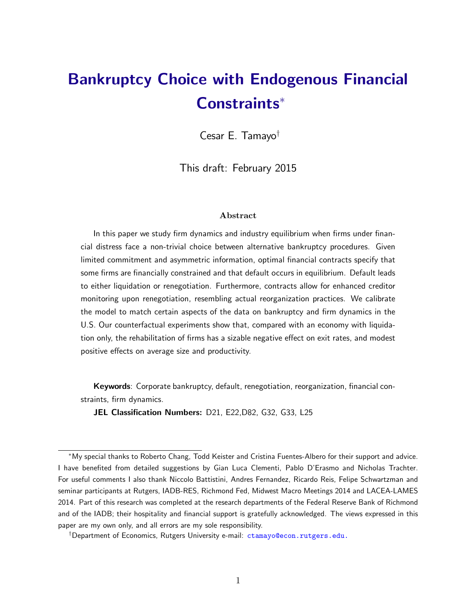# <span id="page-0-0"></span>Bankruptcy Choice with Endogenous Financial Constraints

Cesar E. Tamayo<sup>†</sup>

This draft: February 2015

#### Abstract

In this paper we study firm dynamics and industry equilibrium when firms under financial distress face a non-trivial choice between alternative bankruptcy procedures. Given limited commitment and asymmetric information, optimal financial contracts specify that some firms are financially constrained and that default occurs in equilibrium. Default leads to either liquidation or renegotiation. Furthermore, contracts allow for enhanced creditor monitoring upon renegotiation, resembling actual reorganization practices. We calibrate the model to match certain aspects of the data on bankruptcy and firm dynamics in the U.S. Our counterfactual experiments show that, compared with an economy with liquidation only, the rehabilitation of firms has a sizable negative effect on exit rates, and modest positive effects on average size and productivity.

Keywords: Corporate bankruptcy, default, renegotiation, reorganization, financial constraints, firm dynamics.

JEL Classification Numbers: D21, E22,D82, G32, G33, L25

My special thanks to Roberto Chang, Todd Keister and Cristina Fuentes-Albero for their support and advice. I have benefited from detailed suggestions by Gian Luca Clementi, Pablo D'Erasmo and Nicholas Trachter. For useful comments I also thank Niccolo Battistini, Andres Fernandez, Ricardo Reis, Felipe Schwartzman and seminar participants at Rutgers, IADB-RES, Richmond Fed, Midwest Macro Meetings 2014 and LACEA-LAMES 2014. Part of this research was completed at the research departments of the Federal Reserve Bank of Richmond and of the IADB; their hospitality and financial support is gratefully acknowledged. The views expressed in this paper are my own only, and all errors are my sole responsibility.

 $^\dagger$ Department of Economics, Rutgers University e-mail: <code>ctamayo@econ.rutgers.edu.</code>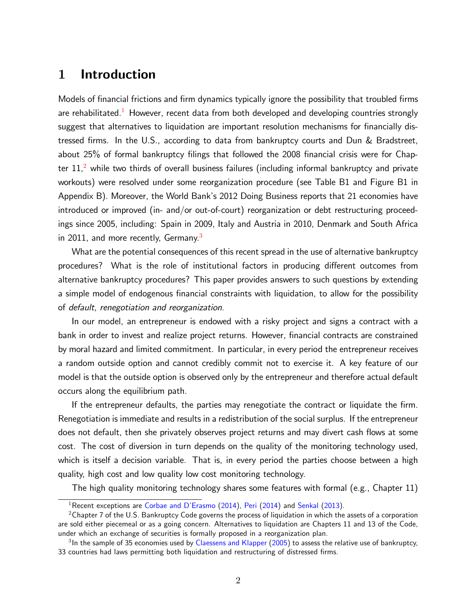# 1 Introduction

Models of financial frictions and firm dynamics typically ignore the possibility that troubled firms are rehabilitated.<sup>[1](#page-0-0)</sup> However, recent data from both developed and developing countries strongly suggest that alternatives to liquidation are important resolution mechanisms for financially distressed firms. In the U.S., according to data from bankruptcy courts and Dun & Bradstreet, about 25% of formal bankruptcy filings that followed the 2008 financial crisis were for Chapter  $11<sub>1</sub><sup>2</sup>$  $11<sub>1</sub><sup>2</sup>$  $11<sub>1</sub><sup>2</sup>$  while two thirds of overall business failures (including informal bankruptcy and private workouts) were resolved under some reorganization procedure (see Table B1 and Figure B1 in Appendix B). Moreover, the World Bankís 2012 Doing Business reports that 21 economies have introduced or improved (in- and/or out-of-court) reorganization or debt restructuring proceedings since 2005, including: Spain in 2009, Italy and Austria in 2010, Denmark and South Africa in 2011, and more recently, Germany.<sup>[3](#page-0-0)</sup>

What are the potential consequences of this recent spread in the use of alternative bankruptcy procedures? What is the role of institutional factors in producing different outcomes from alternative bankruptcy procedures? This paper provides answers to such questions by extending a simple model of endogenous financial constraints with liquidation, to allow for the possibility of default, renegotiation and reorganization.

In our model, an entrepreneur is endowed with a risky project and signs a contract with a bank in order to invest and realize project returns. However, financial contracts are constrained by moral hazard and limited commitment. In particular, in every period the entrepreneur receives a random outside option and cannot credibly commit not to exercise it. A key feature of our model is that the outside option is observed only by the entrepreneur and therefore actual default occurs along the equilibrium path.

If the entrepreneur defaults, the parties may renegotiate the contract or liquidate the firm. Renegotiation is immediate and results in a redistribution of the social surplus. If the entrepreneur does not default, then she privately observes project returns and may divert cash flows at some cost. The cost of diversion in turn depends on the quality of the monitoring technology used, which is itself a decision variable. That is, in every period the parties choose between a high quality, high cost and low quality low cost monitoring technology.

The high quality monitoring technology shares some features with formal (e.g., Chapter 11)

<sup>&</sup>lt;sup>1</sup> Recent exceptions are Corbae and D'Erasmo [\(2014\)](#page-34-0), [Peri](#page-34-0) (2014) and [Senkal](#page-34-1) [\(2013\)](#page-34-1).

 $2$ Chapter 7 of the U.S. Bankruptcy Code governs the process of liquidation in which the assets of a corporation are sold either piecemeal or as a going concern. Alternatives to liquidation are Chapters 11 and 13 of the Code, under which an exchange of securities is formally proposed in a reorganization plan.

 $^3$ In the sample of 35 economies used by [Claessens and Klapper](#page-32-1) [\(2005\)](#page-32-1) to assess the relative use of bankruptcy, 33 countries had laws permitting both liquidation and restructuring of distressed firms.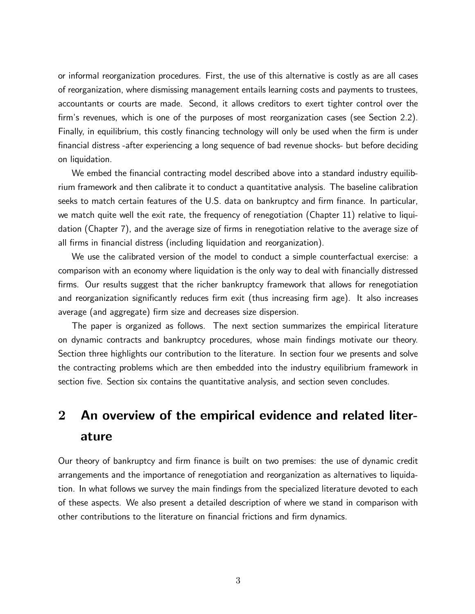or informal reorganization procedures. First, the use of this alternative is costly as are all cases of reorganization, where dismissing management entails learning costs and payments to trustees, accountants or courts are made. Second, it allows creditors to exert tighter control over the firm's revenues, which is one of the purposes of most reorganization cases (see Section 2.2). Finally, in equilibrium, this costly financing technology will only be used when the firm is under financial distress -after experiencing a long sequence of bad revenue shocks- but before deciding on liquidation.

We embed the financial contracting model described above into a standard industry equilibrium framework and then calibrate it to conduct a quantitative analysis. The baseline calibration seeks to match certain features of the U.S. data on bankruptcy and firm finance. In particular, we match quite well the exit rate, the frequency of renegotiation (Chapter 11) relative to liquidation (Chapter 7), and the average size of firms in renegotiation relative to the average size of all firms in financial distress (including liquidation and reorganization).

We use the calibrated version of the model to conduct a simple counterfactual exercise: a comparison with an economy where liquidation is the only way to deal with Önancially distressed firms. Our results suggest that the richer bankruptcy framework that allows for renegotiation and reorganization significantly reduces firm exit (thus increasing firm age). It also increases average (and aggregate) firm size and decreases size dispersion.

The paper is organized as follows. The next section summarizes the empirical literature on dynamic contracts and bankruptcy procedures, whose main Öndings motivate our theory. Section three highlights our contribution to the literature. In section four we presents and solve the contracting problems which are then embedded into the industry equilibrium framework in section five. Section six contains the quantitative analysis, and section seven concludes.

# <span id="page-2-0"></span>2 An overview of the empirical evidence and related literature

Our theory of bankruptcy and firm finance is built on two premises: the use of dynamic credit arrangements and the importance of renegotiation and reorganization as alternatives to liquidation. In what follows we survey the main findings from the specialized literature devoted to each of these aspects. We also present a detailed description of where we stand in comparison with other contributions to the literature on financial frictions and firm dynamics.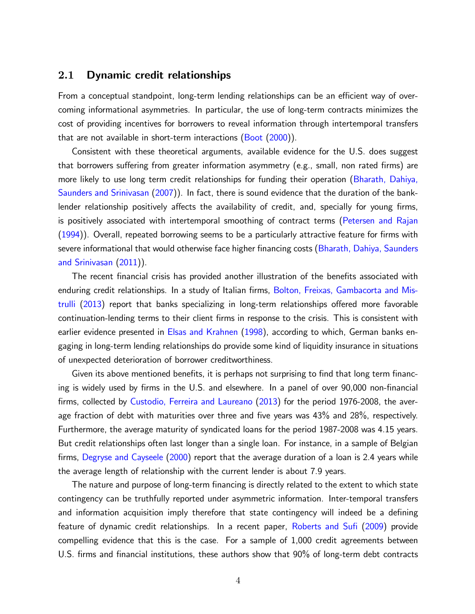## 2.1 Dynamic credit relationships

From a conceptual standpoint, long-term lending relationships can be an efficient way of overcoming informational asymmetries. In particular, the use of long-term contracts minimizes the cost of providing incentives for borrowers to reveal information through intertemporal transfers that are not available in short-term interactions [\(Boot](#page-31-0) [\(2000\)](#page-31-0)).

Consistent with these theoretical arguments, available evidence for the U.S. does suggest that borrowers suffering from greater information asymmetry (e.g., small, non rated firms) are more likely to use long term credit relationships for funding their operation [\(Bharath, Dahiya,](#page-31-1) [Saunders and Srinivasan](#page-31-1) [\(2007\)](#page-31-1)). In fact, there is sound evidence that the duration of the banklender relationship positively affects the availability of credit, and, specially for young firms, is positively associated with intertemporal smoothing of contract terms [\(Petersen and Rajan](#page-34-2)  $(1994)$ ). Overall, repeated borrowing seems to be a particularly attractive feature for firms with severe informational that would otherwise face higher financing costs [\(Bharath, Dahiya, Saunders](#page-31-2) [and Srinivasan](#page-31-2) [\(2011\)](#page-31-2)).

The recent financial crisis has provided another illustration of the benefits associated with enduring credit relationships. In a study of Italian firms, [Bolton, Freixas, Gambacorta and Mis](#page-31-3)[trulli](#page-31-3)  $(2013)$  report that banks specializing in long-term relationships offered more favorable continuation-lending terms to their client firms in response to the crisis. This is consistent with earlier evidence presented in [Elsas and Krahnen](#page-32-2) [\(1998\)](#page-32-2), according to which, German banks engaging in long-term lending relationships do provide some kind of liquidity insurance in situations of unexpected deterioration of borrower creditworthiness.

Given its above mentioned benefits, it is perhaps not surprising to find that long term financing is widely used by firms in the U.S. and elsewhere. In a panel of over 90,000 non-financial firms, collected by [Custodio, Ferreira and Laureano](#page-32-3) [\(2013\)](#page-32-3) for the period 1976-2008, the average fraction of debt with maturities over three and five years was  $43\%$  and  $28\%$ , respectively. Furthermore, the average maturity of syndicated loans for the period 1987-2008 was 4.15 years. But credit relationships often last longer than a single loan. For instance, in a sample of Belgian firms, [Degryse and Cayseele](#page-32-4) [\(2000\)](#page-32-4) report that the average duration of a loan is 2.4 years while the average length of relationship with the current lender is about 7.9 years.

The nature and purpose of long-term financing is directly related to the extent to which state contingency can be truthfully reported under asymmetric information. Inter-temporal transfers and information acquisition imply therefore that state contingency will indeed be a defining feature of dynamic credit relationships. In a recent paper, Roberts and Sufi [\(2009\)](#page-34-3) provide compelling evidence that this is the case. For a sample of 1,000 credit agreements between U.S. firms and financial institutions, these authors show that 90% of long-term debt contracts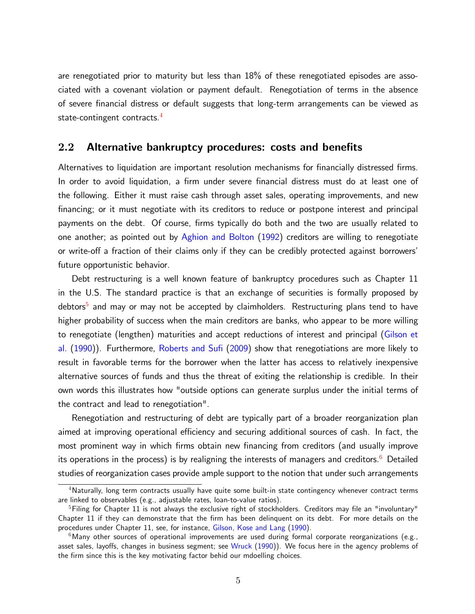are renegotiated prior to maturity but less than 18% of these renegotiated episodes are associated with a covenant violation or payment default. Renegotiation of terms in the absence of severe financial distress or default suggests that long-term arrangements can be viewed as state-contingent contracts.<sup>[4](#page-0-0)</sup>

## 2.2 Alternative bankruptcy procedures: costs and benefits

Alternatives to liquidation are important resolution mechanisms for financially distressed firms. In order to avoid liquidation, a firm under severe financial distress must do at least one of the following. Either it must raise cash through asset sales, operating improvements, and new financing; or it must negotiate with its creditors to reduce or postpone interest and principal payments on the debt. Of course, firms typically do both and the two are usually related to one another; as pointed out by [Aghion and Bolton](#page-30-0) [\(1992\)](#page-30-0) creditors are willing to renegotiate or write-off a fraction of their claims only if they can be credibly protected against borrowers' future opportunistic behavior.

Debt restructuring is a well known feature of bankruptcy procedures such as Chapter 11 in the U.S. The standard practice is that an exchange of securities is formally proposed by debtors<sup>[5](#page-0-0)</sup> and may or may not be accepted by claimholders. Restructuring plans tend to have higher probability of success when the main creditors are banks, who appear to be more willing to renegotiate (lengthen) maturities and accept reductions of interest and principal [\(Gilson et](#page-33-0) [al.](#page-33-0) [\(1990\)](#page-33-0)). Furthermore, Roberts and Sufi [\(2009\)](#page-34-3) show that renegotiations are more likely to result in favorable terms for the borrower when the latter has access to relatively inexpensive alternative sources of funds and thus the threat of exiting the relationship is credible. In their own words this illustrates how "outside options can generate surplus under the initial terms of the contract and lead to renegotiation".

Renegotiation and restructuring of debt are typically part of a broader reorganization plan aimed at improving operational efficiency and securing additional sources of cash. In fact, the most prominent way in which firms obtain new financing from creditors (and usually improve its operations in the process) is by realigning the interests of managers and creditors. $^6$  $^6$  Detailed studies of reorganization cases provide ample support to the notion that under such arrangements

<sup>&</sup>lt;sup>4</sup>Naturally, long term contracts usually have quite some built-in state contingency whenever contract terms are linked to observables (e.g., adjustable rates, loan-to-value ratios).

 $5$ Filing for Chapter 11 is not always the exclusive right of stockholders. Creditors may file an "involuntary" Chapter 11 if they can demonstrate that the firm has been delinquent on its debt. For more details on the procedures under Chapter 11, see, for instance, [Gilson, Kose and Lang](#page-33-0) [\(1990\)](#page-33-0).

 $6$ Many other sources of operational improvements are used during formal corporate reorganizations (e.g., asset sales, layoffs, changes in business segment; see [Wruck](#page-34-4) [\(1990\)](#page-34-4)). We focus here in the agency problems of the firm since this is the key motivating factor behid our mdoelling choices.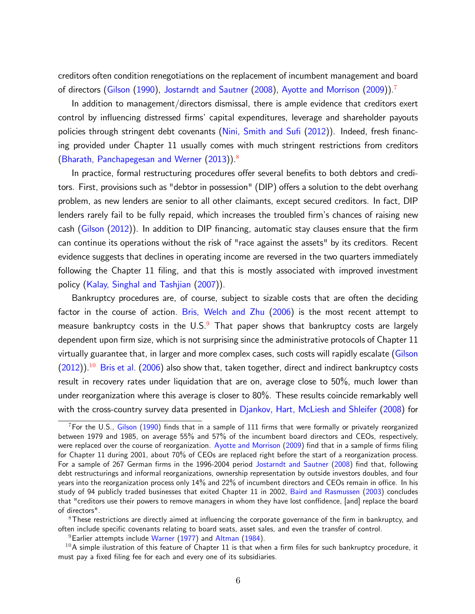creditors often condition renegotiations on the replacement of incumbent management and board of directors [\(Gilson](#page-32-5) [\(1990\)](#page-32-5), [Jostarndt and Sautner](#page-33-1) [\(2008\)](#page-33-1), [Ayotte and Morrison](#page-31-4) [\(2009\)](#page-31-4)).[7](#page-0-0)

In addition to management/directors dismissal, there is ample evidence that creditors exert control by influencing distressed firms' capital expenditures, leverage and shareholder payouts policies through stringent debt covenants (Nini, Smith and Sufi  $(2012)$ ). Indeed, fresh financing provided under Chapter 11 usually comes with much stringent restrictions from creditors [\(Bharath, Panchapegesan and Werner](#page-31-5) [\(2013\)](#page-31-5)).[8](#page-0-0)

In practice, formal restructuring procedures offer several benefits to both debtors and creditors. First, provisions such as "debtor in possession" (DIP) offers a solution to the debt overhang problem, as new lenders are senior to all other claimants, except secured creditors. In fact, DIP lenders rarely fail to be fully repaid, which increases the troubled firm's chances of raising new cash ( $Giison$   $(2012)$ ). In addition to DIP financing, automatic stay clauses ensure that the firm can continue its operations without the risk of "race against the assets" by its creditors. Recent evidence suggests that declines in operating income are reversed in the two quarters immediately following the Chapter 11 filing, and that this is mostly associated with improved investment policy [\(Kalay, Singhal and Tashjian](#page-33-2) [\(2007\)](#page-33-2)).

Bankruptcy procedures are, of course, subject to sizable costs that are often the deciding factor in the course of action. [Bris, Welch and Zhu](#page-31-6) [\(2006\)](#page-31-6) is the most recent attempt to measure bankruptcy costs in the  $U.S.^9$  $U.S.^9$  That paper shows that bankruptcy costs are largely dependent upon firm size, which is not surprising since the administrative protocols of Chapter 11 virtually guarantee that, in larger and more complex cases, such costs will rapidly escalate [\(Gilson](#page-32-6)  $(2012)$ ).<sup>[10](#page-0-0)</sup> [Bris et al.](#page-31-6) [\(2006\)](#page-31-6) also show that, taken together, direct and indirect bankruptcy costs result in recovery rates under liquidation that are on, average close to 50%, much lower than under reorganization where this average is closer to 80%. These results coincide remarkably well with the cross-country survey data presented in [Djankov, Hart, McLiesh and Shleifer](#page-32-7) [\(2008\)](#page-32-7) for

 $8$ These restrictions are directly aimed at influencing the corporate governance of the firm in bankruptcy, and often include specific covenants relating to board seats, asset sales, and even the transfer of control.

 $9$  Earlier attempts include [Warner](#page-34-6) [\(1977\)](#page-34-6) and [Altman](#page-30-1) [\(1984\)](#page-30-1).

 $7$  For the U.S., [Gilson](#page-32-5) [\(1990\)](#page-32-5) finds that in a sample of 111 firms that were formally or privately reorganized between 1979 and 1985, on average 55% and 57% of the incumbent board directors and CEOs, respectively, were replaced over the course of reorganization. [Ayotte and Morrison](#page-31-4) [\(2009\)](#page-31-4) find that in a sample of firms filing for Chapter 11 during 2001, about 70% of CEOs are replaced right before the start of a reorganization process. For a sample of 267 German firms in the 1996-2004 period [Jostarndt and Sautner](#page-33-1) [\(2008\)](#page-33-1) find that, following debt restructurings and informal reorganizations, ownership representation by outside investors doubles, and four years into the reorganization process only 14% and 22% of incumbent directors and CEOs remain in office. In his study of 94 publicly traded businesses that exited Chapter 11 in 2002, [Baird and Rasmussen](#page-31-7) [\(2003\)](#page-31-7) concludes that "creditors use their powers to remove managers in whom they have lost conffidence, [and] replace the board of directors".

 $10A$  simple ilustration of this feature of Chapter 11 is that when a firm files for such bankruptcy procedure, it must pay a fixed filing fee for each and every one of its subsidiaries.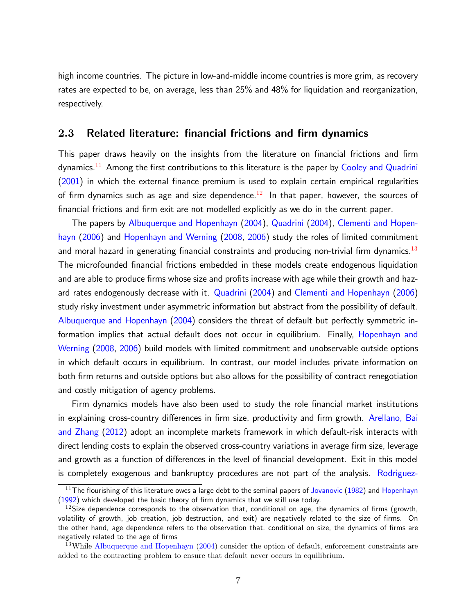high income countries. The picture in low-and-middle income countries is more grim, as recovery rates are expected to be, on average, less than 25% and 48% for liquidation and reorganization, respectively.

## 2.3 Related literature: financial frictions and firm dynamics

This paper draws heavily on the insights from the literature on financial frictions and firm  $d$ ynamics.<sup>[11](#page-0-0)</sup> Among the first contributions to this literature is the paper by [Cooley and Quadrini](#page-32-8)  $(2001)$  in which the external finance premium is used to explain certain empirical regularities of firm dynamics such as age and size dependence.<sup>[12](#page-0-0)</sup> In that paper, however, the sources of financial frictions and firm exit are not modelled explicitly as we do in the current paper.

The papers by [Albuquerque and Hopenhayn](#page-30-2) [\(2004\)](#page-30-2), [Quadrini](#page-34-7) [\(2004\)](#page-34-7), [Clementi and Hopen](#page-32-9)[hayn](#page-32-9) [\(2006\)](#page-32-9) and [Hopenhayn and Werning](#page-33-3) [\(2008,](#page-33-3) [2006\)](#page-33-4) study the roles of limited commitment and moral hazard in generating financial constraints and producing non-trivial firm dynamics.<sup>[13](#page-0-0)</sup> The microfounded financial frictions embedded in these models create endogenous liquidation and are able to produce firms whose size and profits increase with age while their growth and hazard rates endogenously decrease with it. [Quadrini](#page-34-7) [\(2004\)](#page-34-7) and [Clementi and Hopenhayn](#page-32-9) [\(2006\)](#page-32-9) study risky investment under asymmetric information but abstract from the possibility of default. [Albuquerque and Hopenhayn](#page-30-2) [\(2004\)](#page-30-2) considers the threat of default but perfectly symmetric information implies that actual default does not occur in equilibrium. Finally, [Hopenhayn and](#page-33-3) [Werning](#page-33-3) [\(2008,](#page-33-3) [2006\)](#page-33-4) build models with limited commitment and unobservable outside options in which default occurs in equilibrium. In contrast, our model includes private information on both firm returns and outside options but also allows for the possibility of contract renegotiation and costly mitigation of agency problems.

Firm dynamics models have also been used to study the role financial market institutions in explaining cross-country differences in firm size, productivity and firm growth. [Arellano, Bai](#page-31-8) [and Zhang](#page-31-8) [\(2012\)](#page-31-8) adopt an incomplete markets framework in which default-risk interacts with direct lending costs to explain the observed cross-country variations in average firm size, leverage and growth as a function of differences in the level of financial development. Exit in this model is completely exogenous and bankruptcy procedures are not part of the analysis. [Rodriguez-](#page-34-8)

 $11$ The flourishing of this literature owes a large debt to the seminal papers of [Jovanovic](#page-33-5) [\(1982\)](#page-33-5) and [Hopenhayn](#page-33-6)  $(1992)$  which developed the basic theory of firm dynamics that we still use today.

 $12$ Size dependence corresponds to the observation that, conditional on age, the dynamics of firms (growth, volatility of growth, job creation, job destruction, and exit) are negatively related to the size of firms. On the other hand, age dependence refers to the observation that, conditional on size, the dynamics of firms are negatively related to the age of firms

 $13$ While [Albuquerque and Hopenhayn](#page-30-2) [\(2004\) consider the option of default, enforcement constraints are](#page-34-8) [added to the contracting problem to ensure that default never occurs in equilibrium.](#page-34-8)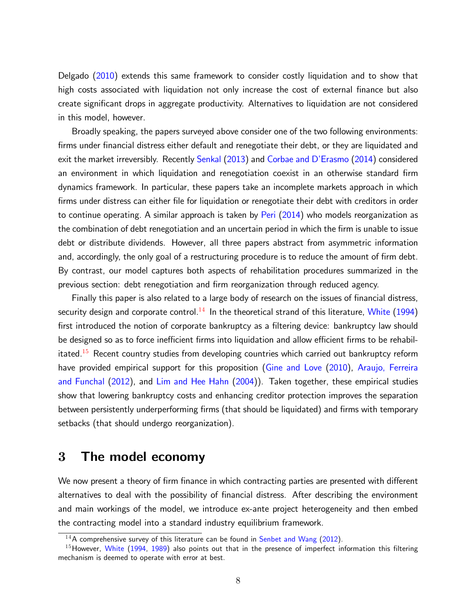[Delgado](#page-34-8) [\(2010\)](#page-34-8) extends this same framework to consider costly liquidation and to show that high costs associated with liquidation not only increase the cost of external finance but also create significant drops in aggregate productivity. Alternatives to liquidation are not considered in this model, however.

Broadly speaking, the papers surveyed above consider one of the two following environments: firms under financial distress either default and renegotiate their debt, or they are liquidated and exit the market irreversibly. Recently [Senkal](#page-34-1) [\(2013\)](#page-34-1) and Corbae and D'Erasmo [\(2014\)](#page-32-0) considered an environment in which liquidation and renegotiation coexist in an otherwise standard firm dynamics framework. In particular, these papers take an incomplete markets approach in which firms under distress can either file for liquidation or renegotiate their debt with creditors in order to continue operating. A similar approach is taken by [Peri](#page-34-0) [\(2014\)](#page-34-0) who models reorganization as the combination of debt renegotiation and an uncertain period in which the firm is unable to issue debt or distribute dividends. However, all three papers abstract from asymmetric information and, accordingly, the only goal of a restructuring procedure is to reduce the amount of firm debt. By contrast, our model captures both aspects of rehabilitation procedures summarized in the previous section: debt renegotiation and firm reorganization through reduced agency.

Finally this paper is also related to a large body of research on the issues of financial distress, security design and corporate control.<sup>[14](#page-0-0)</sup> In the theoretical strand of this literature, [White](#page-34-9) [\(1994\)](#page-34-9) first introduced the notion of corporate bankruptcy as a filtering device: bankruptcy law should be designed so as to force inefficient firms into liquidation and allow efficient firms to be rehabil-itated.<sup>[15](#page-0-0)</sup> Recent country studies from developing countries which carried out bankruptcy reform have provided empirical support for this proposition [\(Gine and Love](#page-33-7) [\(2010\)](#page-33-7), [Araujo, Ferreira](#page-31-9) [and Funchal](#page-31-9) [\(2012\)](#page-31-9), and [Lim and Hee Hahn](#page-33-8) [\(2004\)](#page-33-8)). Taken together, these empirical studies show that lowering bankruptcy costs and enhancing creditor protection improves the separation between persistently underperforming firms (that should be liquidated) and firms with temporary setbacks (that should undergo reorganization).

## 3 The model economy

We now present a theory of firm finance in which contracting parties are presented with different alternatives to deal with the possibility of financial distress. After describing the environment and main workings of the model, we introduce ex-ante project heterogeneity and then embed the contracting model into a standard industry equilibrium framework.

 $14A$  comprehensive survey of this literature can be found in [Senbet and Wang](#page-34-10) [\(2012\)](#page-34-10).

 $15$ However, [White](#page-34-9) [\(1994,](#page-34-9) [1989\)](#page-34-11) also points out that in the presence of imperfect information this filtering mechanism is deemed to operate with error at best.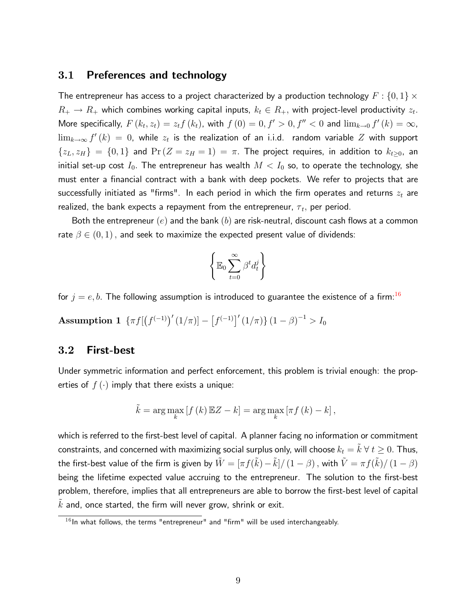## 3.1 Preferences and technology

The entrepreneur has access to a project characterized by a production technology  $F:\{0,1\}\times$  $R_+ \rightarrow R_+$  which combines working capital inputs,  $k_t \in R_+,$  with project-level productivity  $z_t.$ More specifically,  $F(k_t, z_t) = z_t f(k_t)$ , with  $f(0) = 0, f' > 0, f'' < 0$  and  $\lim_{k\to 0} f'(k) = \infty$ ,  $\lim_{k\to\infty}f'\left(k\right)\,=\,0,$  while  $z_t$  is the realization of an i.i.d. random variable  $Z$  with support  $\{z_L,z_H\}$  =  $\{0,1\}$  and  $\Pr(Z=z_H=1)$  =  $\pi$ . The project requires, in addition to  $k_{t\geq0}$ , an initial set-up cost  $I_0.$  The entrepreneur has wealth  $M < I_0$  so, to operate the technology, she must enter a financial contract with a bank with deep pockets. We refer to projects that are successfully initiated as "firms". In each period in which the firm operates and returns  $z_t$  are realized, the bank expects a repayment from the entrepreneur,  $\tau_t,$  per period.

Both the entrepreneur  $(e)$  and the bank  $(b)$  are risk-neutral, discount cash flows at a common rate  $\beta \in (0,1)$ , and seek to maximize the expected present value of dividends:

$$
\left\{\mathbb{E}_0\sum_{t=0}^\infty\beta^t d_t^j\right\}
$$

<span id="page-8-0"></span>for  $j = e, b$ . The following assumption is introduced to guarantee the existence of a firm:<sup>[16](#page-0-0)</sup>

Assumption 1  $\{ \pi f \left[ \left( f^{(-1)} \right)' (1/\pi) \right] - \left[ f^{(-1)} \right]' (1/\pi) \} (1-\beta)^{-1} > I_0$ 

## 3.2 First-best

Under symmetric information and perfect enforcement, this problem is trivial enough: the properties of  $f(\cdot)$  imply that there exists a unique:

$$
\tilde{k} = \arg \max_{k} \left[ f(k) \mathbb{E} Z - k \right] = \arg \max_{k} \left[ \pi f(k) - k \right],
$$

which is referred to the first-best level of capital. A planner facing no information or commitment constraints, and concerned with maximizing social surplus only, will choose  $k_t = \tilde{k} \ \forall \ t \geq 0.$  Thus, the first-best value of the firm is given by  $\tilde{W}=[\pi f(\tilde{k})-\tilde{k}]/\left(1-\beta\right),$  with  $\tilde{V}=\pi f(\tilde{k})/\left(1-\beta\right)$ being the lifetime expected value accruing to the entrepreneur. The solution to the first-best problem, therefore, implies that all entrepreneurs are able to borrow the first-best level of capital  $\tilde{k}$  and, once started, the firm will never grow, shrink or exit.

 $16$  In what follows, the terms "entrepreneur" and "firm" will be used interchangeably.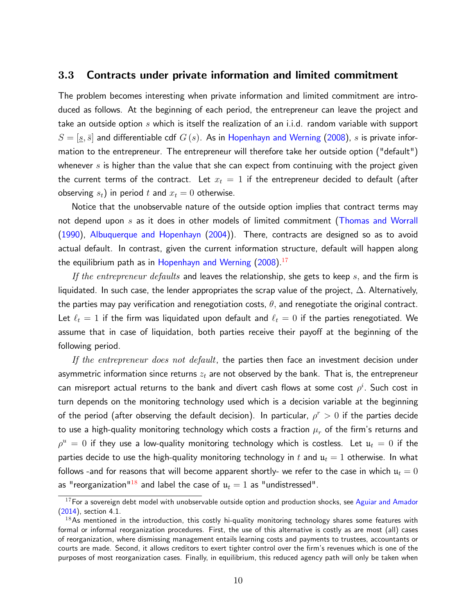## <span id="page-9-0"></span>3.3 Contracts under private information and limited commitment

The problem becomes interesting when private information and limited commitment are introduced as follows. At the beginning of each period, the entrepreneur can leave the project and take an outside option  $s$  which is itself the realization of an i.i.d. random variable with support  $S = [\underline{s}, \bar{s}]$  and differentiable cdf  $G(s)$ . As in [Hopenhayn and Werning](#page-33-3) [\(2008\)](#page-33-3),  $s$  is private information to the entrepreneur. The entrepreneur will therefore take her outside option ("default") whenever s is higher than the value that she can expect from continuing with the project given the current terms of the contract. Let  $x_t = 1$  if the entrepreneur decided to default (after observing  $s_t$ ) in period t and  $x_t = 0$  otherwise.

Notice that the unobservable nature of the outside option implies that contract terms may not depend upon  $s$  as it does in other models of limited commitment [\(Thomas and Worrall](#page-34-12) [\(1990\)](#page-34-12), [Albuquerque and Hopenhayn](#page-30-2) [\(2004\)](#page-30-2)). There, contracts are designed so as to avoid actual default. In contrast, given the current information structure, default will happen along the equilibrium path as in [Hopenhayn and Werning](#page-33-3)  $(2008)^{17}$  $(2008)^{17}$  $(2008)^{17}$  $(2008)^{17}$ 

If the entrepreneur defaults and leaves the relationship, she gets to keep  $s$ , and the firm is liquidated. In such case, the lender appropriates the scrap value of the project,  $\Delta$ . Alternatively, the parties may pay verification and renegotiation costs,  $\theta$ , and renegotiate the original contract. Let  $\ell_t = 1$  if the firm was liquidated upon default and  $\ell_t = 0$  if the parties renegotiated. We assume that in case of liquidation, both parties receive their payoff at the beginning of the following period.

If the entrepreneur does not default, the parties then face an investment decision under asymmetric information since returns  $z_t$  are not observed by the bank. That is, the entrepreneur can misreport actual returns to the bank and divert cash flows at some cost  $\rho^i.$  Such cost in turn depends on the monitoring technology used which is a decision variable at the beginning of the period (after observing the default decision). In particular,  $\rho^r>0$  if the parties decide to use a high-quality monitoring technology which costs a fraction  $\mu_r$  of the firm's returns and  $\rho^u\,=\,0$  if they use a low-quality monitoring technology which is costless. Let  $\mathfrak{u}_t\,=\,0$  if the parties decide to use the high-quality monitoring technology in  $t$  and  $\mathfrak{u}_t = 1$  otherwise. In what follows -and for reasons that will become apparent shortly- we refer to the case in which  $\mathfrak{u}_t=0$ as "reorganization"<sup>[18](#page-0-0)</sup> and label the case of  $u_t = 1$  as "undistressed".

 $17$  For a sovereign debt model with unobservable outside option and production shocks, see [Aguiar and Amador](#page-30-3) [\(2014\)](#page-30-3), section 4.1.

 $18$ As mentioned in the introduction, this costly hi-quality monitoring technology shares some features with formal or informal reorganization procedures. First, the use of this alternative is costly as are most (all) cases of reorganization, where dismissing management entails learning costs and payments to trustees, accountants or courts are made. Second, it allows creditors to exert tighter control over the firm's revenues which is one of the purposes of most reorganization cases. Finally, in equilibrium, this reduced agency path will only be taken when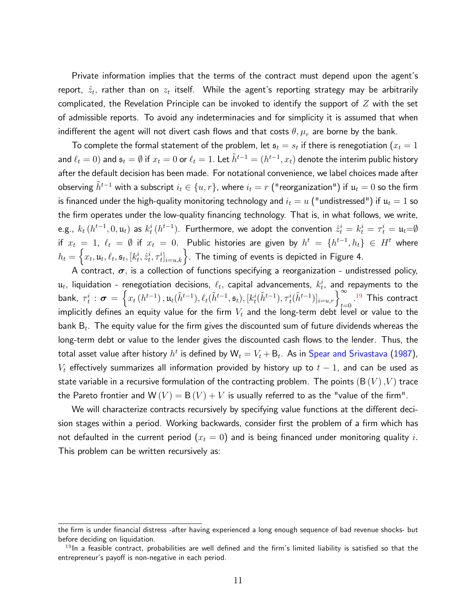Private information implies that the terms of the contract must depend upon the agent's report,  $\hat{z}_t$ , rather than on  $z_t$  itself. While the agent's reporting strategy may be arbitrarily complicated, the Revelation Principle can be invoked to identify the support of  $Z$  with the set of admissible reports. To avoid any indeterminacies and for simplicity it is assumed that when indifferent the agent will not divert cash flows and that costs  $\theta$ ,  $\mu_r$  are borne by the bank.

To complete the formal statement of the problem, let  $\mathfrak{s}_t = s_t$  if there is renegotiation  $(x_t = 1$ and  $\ell_t = 0)$  and  $\mathfrak{s}_t = \emptyset$  if  $x_t = 0$  or  $\ell_t = 1.$  Let  $\tilde{h}^{t-1} = (h^{t-1}, x_t)$  denote the interim public history after the default decision has been made. For notational convenience, we label choices made after observing  $\tilde{h}^{t-1}$  with a subscript  $i_t \in \{u, r\}$ , where  $i_t = r$  ("reorganization") if  $u_t = 0$  so the firm is financed under the high-quality monitoring technology and  $i_t = u$  ("undistressed") if  $\mathfrak{u}_t = 1$  so the firm operates under the low-quality financing technology. That is, in what follows, we write, e.g.,  $k_t$   $(h^{t-1}, 0, \mathfrak{u}_t)$  as  $k_t^i$   $(h^{t-1})$ . Furthermore, we adopt the convention  $\hat{z}_t^i = k_t^i = \tau_t^i = \mathfrak{u}_t$ if  $x_t = 1, \; \ell_t = \emptyset$  if  $x_t = 0$ . Public histories are given by  $h^t = \{h^{t-1}, h_t\} \in H^t$  where  $h_t = \left\{x_t, \mathfrak{u}_t, \ell_t, \mathfrak{s}_t, [k_t^i, \hat{z}_t^i, \tau_t^i]_{i=u,k} \right\}$ . The timing of events is depicted in Figure 4.

A contract,  $\sigma$ , is a collection of functions specifying a reorganization - undistressed policy,  $\mathfrak{u}_t$ , liquidation - renegotiation decisions,  $\ell_t$ , capital advancements,  $k^i_t$ , and repayments to the bank,  $\tau^i_t: \boldsymbol{\sigma} = \left\{x_t\left(h^{t-1}\right), \mathfrak{u}_t(\tilde{h}^{t-1}), \ell_t(\tilde{h}^{t-1}, \mathfrak{s}_t), [k^i_t(\tilde{h}^{t-1}), \tau^i_t(\tilde{h}^{t-1})]_{i=u,r}\right\}_{t=0}^{\infty}$ .<sup>[19](#page-0-0)</sup> This contract implicitly defines an equity value for the firm  $V_t$  and the long-term debt level or value to the bank  ${\sf B}_t.$  The equity value for the firm gives the discounted sum of future dividends whereas the long-term debt or value to the lender gives the discounted cash flows to the lender. Thus, the total asset value after history  $h^t$  is defined by  $\mathsf{W}_t = V_t + \mathsf{B}_t$ . As in  $\mathsf{Spear}$  and Srivastava [\(1987\)](#page-34-13),  $V_t$  effectively summarizes all information provided by history up to  $t-1$ , and can be used as state variable in a recursive formulation of the contracting problem. The points  $(B(V), V)$  trace the Pareto frontier and  $W(V) = B(V) + V$  is usually referred to as the "value of the firm".

We will characterize contracts recursively by specifying value functions at the different decision stages within a period. Working backwards, consider first the problem of a firm which has not defaulted in the current period  $(x_t = 0)$  and is being financed under monitoring quality  $i.$ This problem can be written recursively as:

the firm is under financial distress -after having experienced a long enough sequence of bad revenue shocks- but before deciding on liquidation.

 $19$ In a feasible contract, probabilities are well defined and the firm's limited liability is satisfied so that the entrepreneur's payoff is non-negative in each period.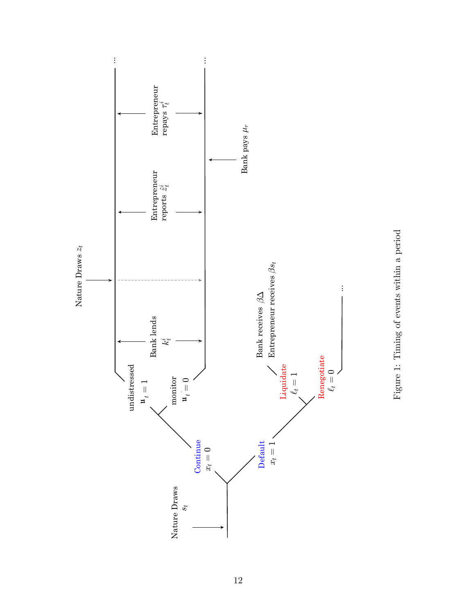

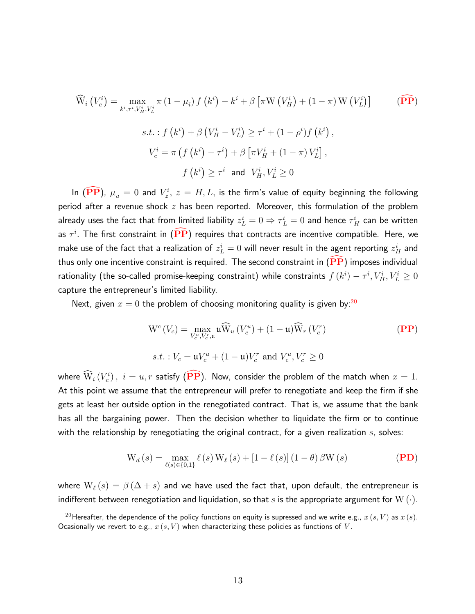<span id="page-12-1"></span><span id="page-12-0"></span>
$$
\widehat{W}_{i}\left(V_{c}^{i}\right) = \max_{k^{i}, \tau^{i}, V_{H}^{i}, V_{L}^{i}} \pi\left(1 - \mu_{i}\right) f\left(k^{i}\right) - k^{i} + \beta\left[\pi W\left(V_{H}^{i}\right) + \left(1 - \pi\right) W\left(V_{L}^{i}\right)\right] \qquad \textbf{(PP)}
$$
\n
$$
s.t. : f\left(k^{i}\right) + \beta\left(V_{H}^{i} - V_{L}^{i}\right) \geq \tau^{i} + \left(1 - \rho^{i}\right) f\left(k^{i}\right),
$$
\n
$$
V_{c}^{i} = \pi\left(f\left(k^{i}\right) - \tau^{i}\right) + \beta\left[\pi V_{H}^{i} + \left(1 - \pi\right) V_{L}^{i}\right],
$$
\n
$$
f\left(k^{i}\right) \geq \tau^{i} \text{ and } V_{H}^{i}, V_{L}^{i} \geq 0
$$

In  $(\widehat{\textbf{PP}})$  $(\widehat{\textbf{PP}})$  $(\widehat{\textbf{PP}})$ ,  $\mu_u = 0$  and  $V^i_z$ ,  $z = H, L,$  is the firm's value of equity beginning the following period after a revenue shock  $z$  has been reported. Moreover, this formulation of the problem already uses the fact that from limited liability  $z_L^i = 0 \Rightarrow \tau_L^i = 0$  and hence  $\tau_H^i$  can be written as  $\tau^i$ . The first constraint in  $(\overline{{\bf PP}})$  $(\overline{{\bf PP}})$  $(\overline{{\bf PP}})$  requires that contracts are incentive compatible. Here, we make use of the fact that a realization of  $z_L^i=0$  will never result in the agent reporting  $z_H^i$  and thus only one incentive constraint is required. The second constraint in  $(PP)$  $(PP)$  $(PP)$  imposes individual rationality (the so-called promise-keeping constraint) while constraints  $f\left(k^{i}\right)-\tau^{i},V_{H}^{i},V_{L}^{i}\geq0$ capture the entrepreneur's limited liability.

Next, given  $x = 0$  the problem of choosing monitoring quality is given by:<sup>[20](#page-0-0)</sup>

<span id="page-12-2"></span>
$$
W^{c}(V_{c}) = \max_{V_{c}^{u}, V_{c}^{r}, u} u \widehat{W}_{u}(V_{c}^{u}) + (1 - u) \widehat{W}_{r}(V_{c}^{r})
$$
\n
$$
s.t. : V_{c} = uV_{c}^{u} + (1 - u)V_{c}^{r} \text{ and } V_{c}^{u}, V_{c}^{r} \ge 0
$$
\n(PP)

where  $\widehat{\mathrm{W}}_i\left(V^i_c\right),\,\,i=u,r$  satisfy  $\big(\overline{\mathbf{P}}\mathbf{P}\big).$  Now, consider the problem of the match when  $x=1.$ At this point we assume that the entrepreneur will prefer to renegotiate and keep the firm if she gets at least her outside option in the renegotiated contract. That is, we assume that the bank has all the bargaining power. Then the decision whether to liquidate the firm or to continue with the relationship by renegotiating the original contract, for a given realization  $s$ , solves:

<span id="page-12-3"></span>
$$
W_{d}(s) = \max_{\ell(s)\in\{0,1\}} \ell(s) W_{\ell}(s) + [1 - \ell(s)] (1 - \theta) \beta W(s)
$$
 (PD)

where  $W_{\ell}(s) = \beta(\Delta + s)$  and we have used the fact that, upon default, the entrepreneur is indifferent between renegotiation and liquidation, so that s is the appropriate argument for  $W(\cdot)$ .

 $^{20}$ Hereafter, the dependence of the policy functions on equity is supressed and we write e.g.,  $x\left(s,V\right)$  as  $x\left(s\right)$ . Ocasionally we revert to e.g.,  $x(s, V)$  when characterizing these policies as functions of V.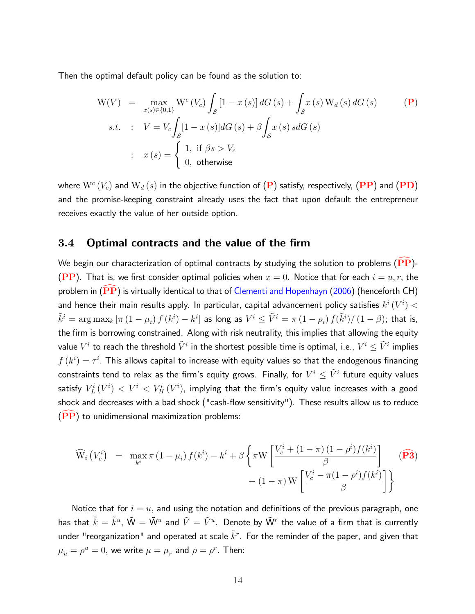Then the optimal default policy can be found as the solution to:

$$
W(V) = \max_{x(s) \in \{0,1\}} W^c(V_c) \int_S [1 - x(s)] dG(s) + \int_S x(s) W_d(s) dG(s)
$$
  
\n
$$
s.t. : V = V_c \int_S [1 - x(s)] dG(s) + \beta \int_S x(s) s dG(s)
$$
  
\n
$$
x(s) = \begin{cases} 1, & \text{if } \beta s > V_c \\ 0, & \text{otherwise} \end{cases}
$$
 (117)

where  $\mathrm{W}^c\left(V_c\right)$  and  $\mathrm{W}_d\left(s\right)$  in the objective function of  $(\mathbf{P})$  $(\mathbf{P})$  $(\mathbf{P})$  satisfy, respectively,  $(\mathbf{PP})$  $(\mathbf{PP})$  $(\mathbf{PP})$  and  $(\mathbf{PD})$  $(\mathbf{PD})$  $(\mathbf{PD})$ and the promise-keeping constraint already uses the fact that upon default the entrepreneur receives exactly the value of her outside option.

## 3.4 Optimal contracts and the value of the firm

We begin our characterization of optimal contracts by studying the solution to problems ( $\widehat{PP}$  $\widehat{PP}$  $\widehat{PP}$ )-([PP](#page-12-2)). That is, we first consider optimal policies when  $x = 0$ . Notice that for each  $i = u, r$ , the problem in  $(\overline{\text{PP}})$  $(\overline{\text{PP}})$  $(\overline{\text{PP}})$  is virtually identical to that of [Clementi and Hopenhayn](#page-32-9) [\(2006\)](#page-32-9) (henceforth CH) and hence their main results apply. In particular, capital advancement policy satisfies  $k^i\left(V^i\right)<$  $\tilde{k}^i = \argmax_k \left[ \pi \left(1-\mu_i\right) f\left(k^i\right) - k^i \right]$  as long as  $V^i \leq \tilde{V}^i = \pi \left(1-\rho_i\right) f(\tilde{k}^i) / \left(1-\beta\right)$ ; that is, the firm is borrowing constrained. Along with risk neutrality, this implies that allowing the equity value  $V^i$  to reach the threshold  $\tilde{V}^i$  in the shortest possible time is optimal, i.e.,  $V^i\leq \tilde{V}^i$  implies  $f\left(k^{i}\right)=\tau^{i}.$  This allows capital to increase with equity values so that the endogenous financing constraints tend to relax as the firm's equity grows. Finally, for  $V^i \leq \tilde{V}^i$  future equity values satisfy  $\,V^i_L\,(V^i) \,<\,V^i \,<\,V^i_H\,(V^i),\,$  implying that the firm's equity value increases with a good shock and decreases with a bad shock ("cash-flow sensitivity"). These results allow us to reduce  $(PP)$  $(PP)$  $(PP)$  to unidimensional maximization problems:

$$
\widehat{\mathbf{W}}_{i}\left(V_{c}^{i}\right) = \max_{k^{i}} \pi \left(1 - \mu_{i}\right) f(k^{i}) - k^{i} + \beta \left\{\pi \mathbf{W} \left[\frac{V_{c}^{i} + \left(1 - \pi\right)\left(1 - \rho^{i}\right) f(k^{i})}{\beta}\right] + \left(1 - \pi\right) \mathbf{W} \left[\frac{V_{c}^{i} - \pi \left(1 - \rho^{i}\right) f(k^{i})}{\beta}\right]\right\}
$$
\n
$$
(P3)
$$

<span id="page-13-0"></span>Notice that for  $i = u$ , and using the notation and definitions of the previous paragraph, one has that  $\tilde k = \tilde k^u, \, \tilde{\mathsf W} = \tilde{\mathsf W}^u$  and  $\tilde{V} = \tilde{V}^u$ . Denote by  $\tilde{\mathsf W}^r$  the value of a firm that is currently under "reorganization" and operated at scale  $\tilde{k}^r$ . For the reminder of the paper, and given that  $\mu_u = \rho^u = 0$ , we write  $\mu = \mu_r$  and  $\rho = \rho^r$ . Then: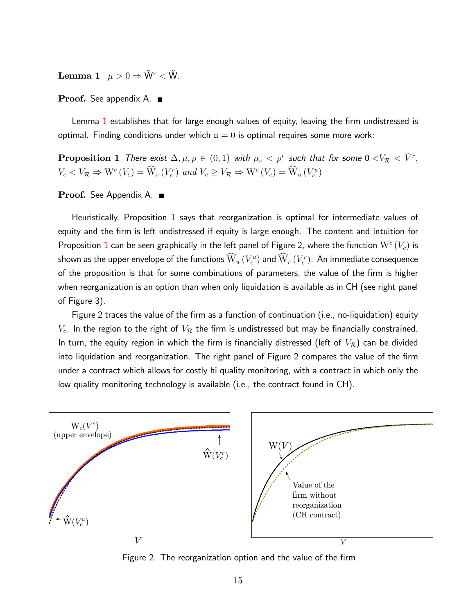**Lemma 1**  $\mu > 0 \Rightarrow \tilde{W}^r < \tilde{W}$ .

Proof. See appendix A. ■

Lemma [1](#page-13-0) establishes that for large enough values of equity, leaving the firm undistressed is optimal. Finding conditions under which  $u = 0$  is optimal requires some more work:

<span id="page-14-0"></span>**Proposition 1** There exist  $\Delta, \mu, \rho \in (0,1)$  with  $\mu_r < \rho^r$  such that for some  $0 <\!\!V_{\cal R} < \tilde{V}^r,$  $V_c < V_{\mathcal{R}} \Rightarrow W^c(V_c) = W_r(V_c^r)$  and  $V_c \ge V_{\mathcal{R}} \Rightarrow W^c(V_c) = W_u(V_c^u)$ 

Proof. See Appendix A. ■

Heuristically, Proposition [1](#page-14-0) says that reorganization is optimal for intermediate values of equity and the firm is left undistressed if equity is large enough. The content and intuition for Proposition  $1$  can be seen graphically in the left panel of Figure 2, where the function  $\mathrm{W}^c\left(V_c\right)$  is shown as the upper envelope of the functions  $\mathrm{\bar{W}}_u\left(V^u_c\right)$  and  $\mathrm{\bar{W}}_r\left(V^r_c\right)$ . An immediate consequence of the proposition is that for some combinations of parameters, the value of the firm is higher when reorganization is an option than when only liquidation is available as in CH (see right panel of Figure 3).

Figure 2 traces the value of the firm as a function of continuation (i.e., no-liquidation) equity  $V_c$ . In the region to the right of  $V_{\mathcal{R}}$  the firm is undistressed but may be financially constrained. In turn, the equity region in which the firm is financially distressed (left of  $V_\mathcal{R})$  can be divided into liquidation and reorganization. The right panel of Figure 2 compares the value of the firm under a contract which allows for costly hi quality monitoring, with a contract in which only the low quality monitoring technology is available (i.e., the contract found in CH).



Figure 2. The reorganization option and the value of the firm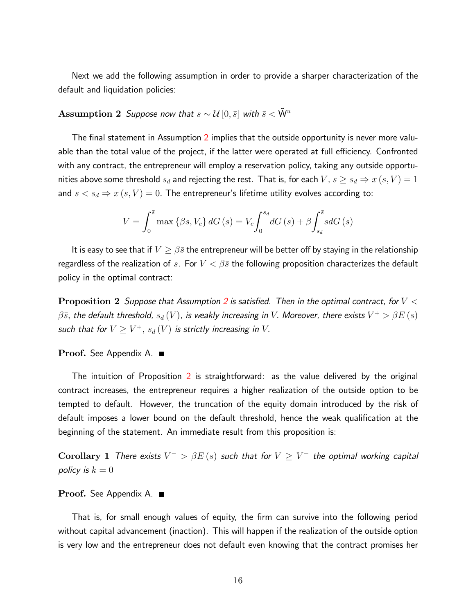Next we add the following assumption in order to provide a sharper characterization of the default and liquidation policies:

# <span id="page-15-0"></span>Assumption 2 Suppose now that  $s \sim \mathcal{U}\left[0,\bar{s}\right]$  with  $\bar{s} < \tilde{W}^u$

The final statement in Assumption [2](#page-15-0) implies that the outside opportunity is never more valuable than the total value of the project, if the latter were operated at full efficiency. Confronted with any contract, the entrepreneur will employ a reservation policy, taking any outside opportunities above some threshold  $s_d$  and rejecting the rest. That is, for each  $V$ ,  $s\geq s_d \Rightarrow x\left( s,V \right) = 1$ and  $s < s_d \Rightarrow x(s, V) = 0$ . The entrepreneur's lifetime utility evolves according to:

$$
V = \int_0^{\bar{s}} \max \left\{ \beta s, V_c \right\} dG \left( s \right) = V_c \int_0^{s_d} dG \left( s \right) + \beta \int_{s_d}^{\bar{s}} s dG \left( s \right)
$$

It is easy to see that if  $V \geq \beta \bar{s}$  the entrepreneur will be better off by staying in the relationship regardless of the realization of  $s$ . For  $V<\beta\bar{s}$  the following proposition characterizes the default policy in the optimal contract:

<span id="page-15-1"></span>**Proposition [2](#page-15-0)** Suppose that Assumption 2 is satisfied. Then in the optimal contract, for  $V <$  $\beta\bar{s},$  the default threshold,  $s_d\,(V)$ , is weakly increasing in  $V.$  Moreover, there exists  $V^+>\beta E\,(s)$ such that for  $V \geq V^+, \, s_d\left(V\right)$  is strictly increasing in  $V.$ 

### Proof. See Appendix A. ■

The intuition of Proposition [2](#page-15-1) is straightforward: as the value delivered by the original contract increases, the entrepreneur requires a higher realization of the outside option to be tempted to default. However, the truncation of the equity domain introduced by the risk of default imposes a lower bound on the default threshold, hence the weak qualification at the beginning of the statement. An immediate result from this proposition is:

 $\bf Corollary~1$  There exists  $V^->\beta E\left(s\right)$  such that for  $V\geq V^+$  the optimal working capital policy is  $k = 0$ 

#### Proof. See Appendix A. ■

That is, for small enough values of equity, the firm can survive into the following period without capital advancement (inaction). This will happen if the realization of the outside option is very low and the entrepreneur does not default even knowing that the contract promises her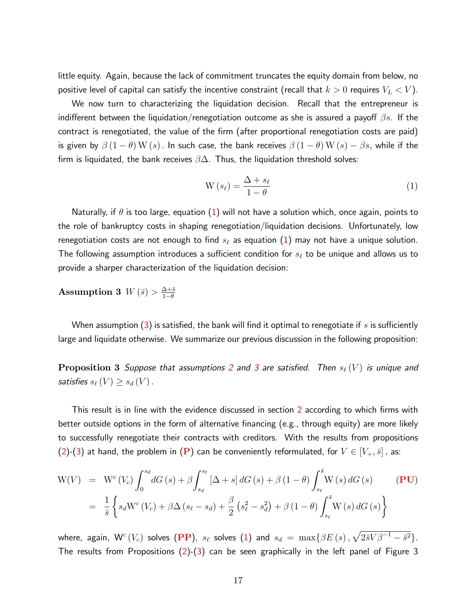little equity. Again, because the lack of commitment truncates the equity domain from below, no positive level of capital can satisfy the incentive constraint (recall that  $k>0$  requires  $V_L < V)$ .

We now turn to characterizing the liquidation decision. Recall that the entrepreneur is indifferent between the liquidation/renegotiation outcome as she is assured a payoff  $\beta s$ . If the contract is renegotiated, the value of the firm (after proportional renegotiation costs are paid) is given by  $\beta \left(1-\theta\right) {\rm W}\left(s\right)$  . In such case, the bank receives  $\beta \left(1-\theta\right){\rm W}\left(s\right)-\beta s,$  while if the firm is liquidated, the bank receives  $\beta \Delta$ . Thus, the liquidation threshold solves:

$$
W(s_{\ell}) = \frac{\Delta + s_{\ell}}{1 - \theta} \tag{1}
$$

Naturally, if  $\theta$  is too large, equation [\(1\)](#page-12-1) will not have a solution which, once again, points to the role of bankruptcy costs in shaping renegotiation/liquidation decisions. Unfortunately, low renegotiation costs are not enough to find  $s_\ell$  as equation  $(1)$  may not have a unique solution. The following assumption introduces a sufficient condition for  $s_\ell$  to be unique and allows us to provide a sharper characterization of the liquidation decision:

<span id="page-16-0"></span>**Assumption 3** 
$$
W(\bar{s}) > \frac{\Delta + \bar{s}}{1 - \theta}
$$

When assumption [\(3\)](#page-16-0) is satisfied, the bank will find it optimal to renegotiate if s is sufficiently large and liquidate otherwise. We summarize our previous discussion in the following proposition:

<span id="page-16-1"></span>**Proposition [3](#page-16-0)** Suppose that assumptions [2](#page-15-0) and 3 are satisfied. Then  $s_\ell(V)$  is unique and satisfies  $s_{\ell} \left(V\right) \geq s_d \left(V \right)$ .

This result is in line with the evidence discussed in section [2](#page-2-0) according to which firms with better outside options in the form of alternative financing (e.g., through equity) are more likely to successfully renegotiate their contracts with creditors. With the results from propositions  $(2)$ -[\(3\)](#page-16-1) at hand, the problem in  $(P)$  $(P)$  $(P)$  can be conveniently reformulated, for  $V \in [V_+, \bar s]$ , as:

<span id="page-16-2"></span>
$$
W(V) = Wc (Vc) \int_0^{s_d} dG(s) + \beta \int_{s_d}^{s_\ell} [\Delta + s] dG(s) + \beta (1 - \theta) \int_{s_\ell}^{\bar{s}} W(s) dG(s)
$$
 (PU)  
=  $\frac{1}{\bar{s}} \left\{ s_d Wc (Vc) + \beta \Delta (s_\ell - s_d) + \frac{\beta}{2} (s_\ell^2 - s_d^2) + \beta (1 - \theta) \int_{s_\ell}^{\bar{s}} W(s) dG(s) \right\}$ 

where, again,  $\mathsf{W}^c\left(V_c\right)$  solves  $\left(\mathbf{PP}\right)$  $\left(\mathbf{PP}\right)$  $\left(\mathbf{PP}\right)$ ,  $s_\ell$  solves  $(1)$  and  $s_d~=~\max\{\beta E\left(s\right),\sqrt{2\bar{s}V\beta^{-1}-\bar{s}^2}\}.$ The results from Propositions  $(2)-(3)$  $(2)-(3)$  $(2)-(3)$  can be seen graphically in the left panel of Figure 3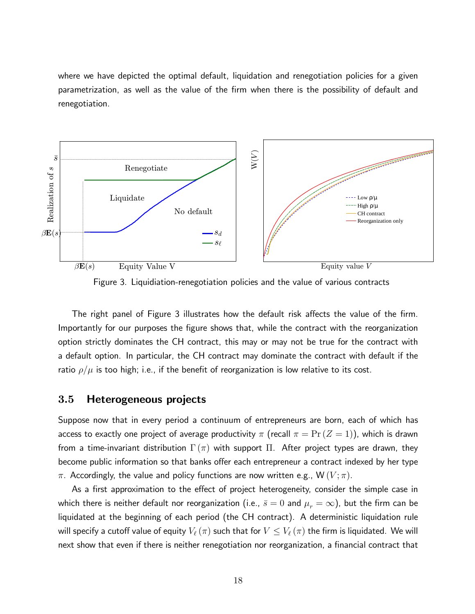where we have depicted the optimal default, liquidation and renegotiation policies for a given parametrization, as well as the value of the Örm when there is the possibility of default and renegotiation.



Figure 3. Liquidiation-renegotiation policies and the value of various contracts

The right panel of Figure 3 illustrates how the default risk affects the value of the firm. Importantly for our purposes the figure shows that, while the contract with the reorganization option strictly dominates the CH contract, this may or may not be true for the contract with a default option. In particular, the CH contract may dominate the contract with default if the ratio  $\rho/\mu$  is too high; i.e., if the benefit of reorganization is low relative to its cost.

## 3.5 Heterogeneous projects

Suppose now that in every period a continuum of entrepreneurs are born, each of which has access to exactly one project of average productivity  $\pi$  (recall  $\pi = \Pr(Z = 1)$ ), which is drawn from a time-invariant distribution  $\Gamma(\pi)$  with support  $\Pi$ . After project types are drawn, they become public information so that banks offer each entrepreneur a contract indexed by her type  $\pi$ . Accordingly, the value and policy functions are now written e.g.,  $W(V;\pi)$ .

As a first approximation to the effect of project heterogeneity, consider the simple case in which there is neither default nor reorganization (i.e.,  $\bar{s} = 0$  and  $\mu_r = \infty$ ), but the firm can be liquidated at the beginning of each period (the CH contract). A deterministic liquidation rule will specify a cutoff value of equity  $V_\ell(\pi)$  such that for  $V \leq V_\ell(\pi)$  the firm is liquidated. We will next show that even if there is neither renegotiation nor reorganization, a financial contract that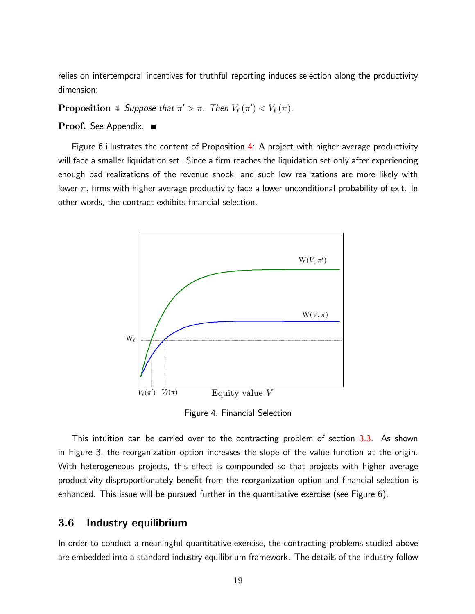relies on intertemporal incentives for truthful reporting induces selection along the productivity dimension:

<span id="page-18-0"></span> $\bf{Proposition~4}$  Suppose that  $\pi' > \pi$ . Then  $V_{\ell}\left(\pi'\right) < V_{\ell}\left(\pi\right)$ .

#### Proof. See Appendix.

Figure 6 illustrates the content of Proposition [4:](#page-18-0) A project with higher average productivity will face a smaller liquidation set. Since a firm reaches the liquidation set only after experiencing enough bad realizations of the revenue shock, and such low realizations are more likely with lower  $\pi$ , firms with higher average productivity face a lower unconditional probability of exit. In other words, the contract exhibits financial selection.



Figure 4. Financial Selection

This intuition can be carried over to the contracting problem of section [3.3.](#page-9-0) As shown in Figure 3, the reorganization option increases the slope of the value function at the origin. With heterogeneous projects, this effect is compounded so that projects with higher average productivity disproportionately benefit from the reorganization option and financial selection is enhanced. This issue will be pursued further in the quantitative exercise (see Figure 6).

## 3.6 Industry equilibrium

In order to conduct a meaningful quantitative exercise, the contracting problems studied above are embedded into a standard industry equilibrium framework. The details of the industry follow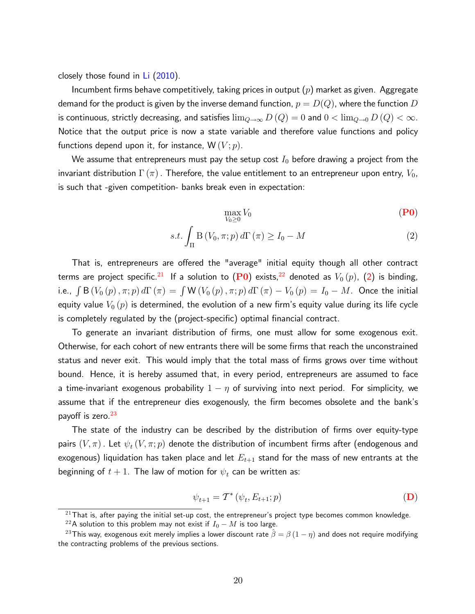closely those found in [Li](#page-33-9) [\(2010\)](#page-33-9).

Incumbent firms behave competitively, taking prices in output  $(p)$  market as given. Aggregate demand for the product is given by the inverse demand function,  $p = D(Q)$ , where the function  $D$ is continuous, strictly decreasing, and satisfies  $\lim_{Q\to\infty} D\left(Q\right) = 0$  and  $0<\lim_{Q\to 0} D\left(Q\right)<\infty.$ Notice that the output price is now a state variable and therefore value functions and policy functions depend upon it, for instance,  $W(V; p)$ .

We assume that entrepreneurs must pay the setup cost  $I_0$  before drawing a project from the invariant distribution  $\Gamma\left(\pi\right)$ . Therefore, the value entitlement to an entrepreneur upon entry,  $V_{0}$ , is such that -given competition- banks break even in expectation:

<span id="page-19-0"></span>
$$
\max_{V_0 \ge 0} V_0 \tag{P0}
$$

$$
s.t. \int_{\Pi} \mathcal{B}\left(V_0, \pi; p\right) d\Gamma\left(\pi\right) \ge I_0 - M \tag{2}
$$

That is, entrepreneurs are offered the "average" initial equity though all other contract terms are project specific.<sup>[21](#page-0-0)</sup> If a solution to ([P0](#page-19-0)) exists,<sup>[22](#page-0-0)</sup> denoted as  $V_0(p)$ , [\(2\)](#page-16-2) is binding, i.e.,  $\int$  B  $(V_0(p)\,,\pi;p)\,d\Gamma\left(\pi\right)=\int{\sf W}\left(V_0\left(p\right),\pi;p\right)d\Gamma\left(\pi\right)-V_0\left(p\right)=I_0-M.$  Once the initial equity value  $V_0(p)$  is determined, the evolution of a new firm's equity value during its life cycle is completely regulated by the (project-specific) optimal financial contract.

To generate an invariant distribution of firms, one must allow for some exogenous exit. Otherwise, for each cohort of new entrants there will be some firms that reach the unconstrained status and never exit. This would imply that the total mass of firms grows over time without bound. Hence, it is hereby assumed that, in every period, entrepreneurs are assumed to face a time-invariant exogenous probability  $1 - \eta$  of surviving into next period. For simplicity, we assume that if the entrepreneur dies exogenously, the firm becomes obsolete and the bank's payoff is zero. $^{23}$  $^{23}$  $^{23}$ 

The state of the industry can be described by the distribution of firms over equity-type pairs  $(V,\pi)$  . Let  $\psi_{t}\left(V,\pi;p\right)$  denote the distribution of incumbent firms after (endogenous and exogenous) liquidation has taken place and let  $E_{t+1}$  stand for the mass of new entrants at the beginning of  $t+1.$  The law of motion for  $\psi_t$  can be written as:

<span id="page-19-1"></span>
$$
\psi_{t+1} = \mathcal{T}^* \left( \psi_t, E_{t+1}; p \right) \tag{D}
$$

 $21$ That is, after paying the initial set-up cost, the entrepreneur's project type becomes common knowledge.

<sup>&</sup>lt;sup>22</sup>A solution to this problem may not exist if  $I_0 - M$  is too large.

<sup>&</sup>lt;sup>23</sup>This way, exogenous exit merely implies a lower discount rate  $\hat{\beta} = \beta (1 - \eta)$  and does not require modifying the contracting problems of the previous sections.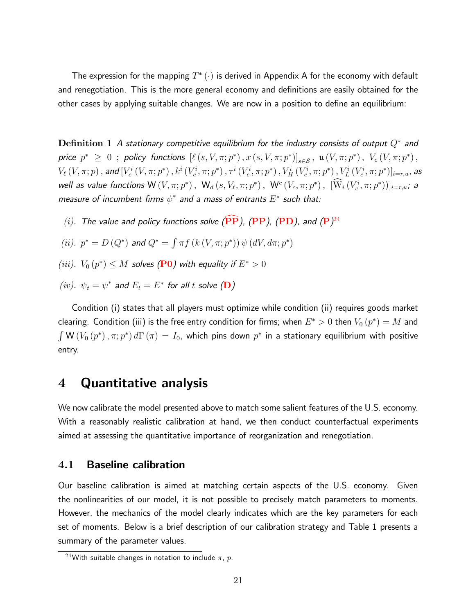The expression for the mapping  $T^{*}\left(\cdot\right)$  is derived in Appendix A for the economy with default and renegotiation. This is the more general economy and definitions are easily obtained for the other cases by applying suitable changes. We are now in a position to define an equilibrium:

 ${\bf Definition~1~}$  A stationary competitive equilibrium for the industry consists of output  $Q^*$  and price  $p^* \geq 0$ ; policy functions  $[\ell(s, V, \pi; p^*), x(s, V, \pi; p^*)]_{s \in S}$ ,  $\mathfrak{u}(V, \pi; p^*)$ ,  $V_c(V, \pi; p^*)$ ,  $V_\ell\left(V,\pi;p\right),$  and  $[V_c^i\left(V,\pi;p^*\right),k^i\left(V_c^i,\pi;p^*\right),\tau^i\left(V_c^i,\pi;p^*\right),V_H^i\left(V_c^i,\pi;p^*\right),V_L^i\left(V_c^i,\pi;p^*\right)]_{i=r,u},$  as well as value functions  ${\sf W}\left(V,\pi;p^*\right),\ {\sf W}_d\left(s,V_\ell,\pi;p^*\right),\ {\sf W}^c\left(V_c,\pi;p^*\right),\ [{\sf W}_i\left(V_c^i,\pi;p^*\right))]_{i=r,u};$  a measure of incumbent firms  $\psi^*$  and a mass of entrants  $E^*$  such that:

- (i). The value and policy functions solve  $(\mathbf{PP})$  $(\mathbf{PP})$  $(\mathbf{PP})$ ,  $(\mathbf{PP})$  $(\mathbf{PP})$  $(\mathbf{PP})$ ,  $(\mathbf{PD})$  $(\mathbf{PD})$  $(\mathbf{PD})$ , and  $(\mathbf{P})^{24}$  $(\mathbf{P})^{24}$  $(\mathbf{P})^{24}$
- (*ii*).  $p^* = D(Q^*)$  and  $Q^* = \int \pi f(k(V, \pi; p^*)) \psi(dV, d\pi; p^*)$
- (iii).  $V_0(p^*) \leq M$  solves ([P0](#page-19-0)) with equality if  $E^* > 0$
- $(iv). \: \: \psi_t = \psi^*$  and  $E_t = E^*$  for all  $t$  solve  $(\mathbf{D})$  $(\mathbf{D})$  $(\mathbf{D})$

Condition (i) states that all players must optimize while condition (ii) requires goods market clearing. Condition (iii) is the free entry condition for firms; when  $E^* > 0$  then  $V_0\left(p^*\right) = M$  and  $\int \mathsf{W}\left(V_0\left(p^*\right),\pi;p^*\right)d\Gamma\left(\pi\right)=I_0,$  which pins down  $p^*$  in a stationary equilibrium with positive entry.

## 4 Quantitative analysis

We now calibrate the model presented above to match some salient features of the U.S. economy. With a reasonably realistic calibration at hand, we then conduct counterfactual experiments aimed at assessing the quantitative importance of reorganization and renegotiation.

## 4.1 Baseline calibration

Our baseline calibration is aimed at matching certain aspects of the U.S. economy. Given the nonlinearities of our model, it is not possible to precisely match parameters to moments. However, the mechanics of the model clearly indicates which are the key parameters for each set of moments. Below is a brief description of our calibration strategy and Table 1 presents a summary of the parameter values.

<sup>&</sup>lt;sup>24</sup>With suitable changes in notation to include  $\pi$ , p.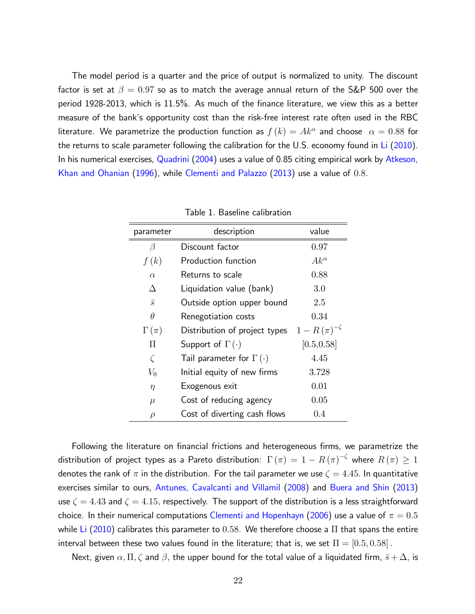The model period is a quarter and the price of output is normalized to unity. The discount factor is set at  $\beta = 0.97$  so as to match the average annual return of the S&P 500 over the period 1928-2013, which is 11.5%. As much of the Önance literature, we view this as a better measure of the bankís opportunity cost than the risk-free interest rate often used in the RBC literature. We parametrize the production function as  $f\left(k\right)=Ak^{\alpha}$  and choose  $|\alpha|=0.88$  for the returns to scale parameter following the calibration for the U.S. economy found in [Li](#page-33-9) [\(2010\)](#page-33-9). In his numerical exercises, [Quadrini](#page-34-7) [\(2004\)](#page-34-7) uses a value of 0.85 citing empirical work by [Atkeson,](#page-31-10) [Khan and Ohanian](#page-31-10) [\(1996\)](#page-31-10), while [Clementi and Palazzo](#page-32-10) [\(2013\)](#page-32-10) use a value of 0:8.

| parameter      | description                        | value                 |
|----------------|------------------------------------|-----------------------|
| β              | Discount factor                    | 0.97                  |
| f(k)           | Production function                | $Ak^{\alpha}$         |
| $\alpha$       | Returns to scale                   | 0.88                  |
| Л              | Liquidation value (bank)           | 3.0                   |
| $\overline{s}$ | Outside option upper bound         | 2.5                   |
| $\theta$       | Renegotiation costs                | 0.34                  |
| $\Gamma(\pi)$  | Distribution of project types      | $1 - R(\pi)^{-\zeta}$ |
| П              | Support of $\Gamma(\cdot)$         | [0.5, 0.58]           |
| $\zeta$        | Tail parameter for $\Gamma(\cdot)$ | 4.45                  |
| $V_0$          | Initial equity of new firms        | 3.728                 |
| $\eta$         | Exogenous exit                     | 0.01                  |
| $\mu$          | Cost of reducing agency            | 0.05                  |
| $\rho$         | Cost of diverting cash flows       | 0.4                   |

Table 1: Baseline calibration

Following the literature on financial frictions and heterogeneous firms, we parametrize the distribution of project types as a Pareto distribution:  $\Gamma\left(\pi\right) = 1 - R\left(\pi\right)^{-\zeta}$  where  $R\left(\pi\right) \geq 1$ denotes the rank of  $\pi$  in the distribution. For the tail parameter we use  $\zeta = 4.45$ . In quantitative exercises similar to ours, [Antunes, Cavalcanti and Villamil](#page-30-4) [\(2008\)](#page-30-4) and [Buera and Shin](#page-31-11) [\(2013\)](#page-31-11) use  $\zeta = 4.43$  and  $\zeta = 4.15$ , respectively. The support of the distribution is a less straightforward choice. In their numerical computations [Clementi and Hopenhayn](#page-32-9) [\(2006\)](#page-32-9) use a value of  $\pi=0.5$ while [Li](#page-33-9) [\(2010\)](#page-33-9) calibrates this parameter to 0.58. We therefore choose a  $\Pi$  that spans the entire interval between these two values found in the literature; that is, we set  $\Pi = [0.5, 0.58]$  .

Next, given  $\alpha, \Pi, \zeta$  and  $\beta$ , the upper bound for the total value of a liquidated firm,  $\bar{s} + \Delta$ , is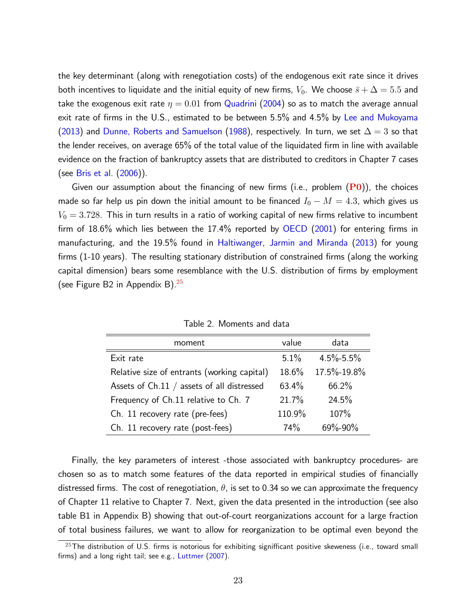the key determinant (along with renegotiation costs) of the endogenous exit rate since it drives both incentives to liquidate and the initial equity of new firms,  $V_0$ . We choose  $\bar{s}+\Delta=5.5$  and take the exogenous exit rate  $\eta = 0.01$  from [Quadrini](#page-34-7) [\(2004\)](#page-34-7) so as to match the average annual exit rate of firms in the U.S., estimated to be between 5.5% and 4.5% by [Lee and Mukoyama](#page-33-10) [\(2013\)](#page-33-10) and [Dunne, Roberts and Samuelson](#page-32-11) [\(1988\)](#page-32-11), respectively. In turn, we set  $\Delta=3$  so that the lender receives, on average  $65%$  of the total value of the liquidated firm in line with available evidence on the fraction of bankruptcy assets that are distributed to creditors in Chapter 7 cases (see [Bris et al.](#page-31-6) [\(2006\)](#page-31-6)).

Given our assumption about the financing of new firms (i.e., problem  $(P0)$  $(P0)$  $(P0)$ ), the choices made so far help us pin down the initial amount to be financed  $I_0 - M = 4.3$ , which gives us  $V_0 = 3.728$ . This in turn results in a ratio of working capital of new firms relative to incumbent firm of  $18.6\%$  which lies between the  $17.4\%$  reported by [OECD](#page-34-14) [\(2001\)](#page-34-14) for entering firms in manufacturing, and the 19.5% found in [Haltiwanger, Jarmin and Miranda](#page-33-11) [\(2013\)](#page-33-11) for young firms (1-10 years). The resulting stationary distribution of constrained firms (along the working capital dimension) bears some resemblance with the U.S. distribution of firms by employment (see Figure B2 in Appendix B). $25$ 

| moment                                      | value  | data            |
|---------------------------------------------|--------|-----------------|
| Exit rate                                   | 5.1%   | $4.5\% - 5.5\%$ |
| Relative size of entrants (working capital) | 18.6%  | 17.5%-19.8%     |
| Assets of Ch.11 / assets of all distressed  | 63.4%  | 66.2%           |
| Frequency of Ch.11 relative to Ch. 7        | 21.7%  | 24.5%           |
| Ch. 11 recovery rate (pre-fees)             | 110.9% | 107%            |
| Ch. 11 recovery rate (post-fees)            | 74%    | 69%-90%         |

Table 2. Moments and data

Finally, the key parameters of interest -those associated with bankruptcy procedures- are chosen so as to match some features of the data reported in empirical studies of financially distressed firms. The cost of renegotiation,  $\theta$ , is set to 0.34 so we can approximate the frequency of Chapter 11 relative to Chapter 7. Next, given the data presented in the introduction (see also table B1 in Appendix B) showing that out-of-court reorganizations account for a large fraction of total business failures, we want to allow for reorganization to be optimal even beyond the

 $^{25}$ The distribution of U.S. firms is notorious for exhibiting signifficant positive skeweness (i.e., toward small firms) and a long right tail; see e.g., [Luttmer](#page-33-12)  $(2007)$ .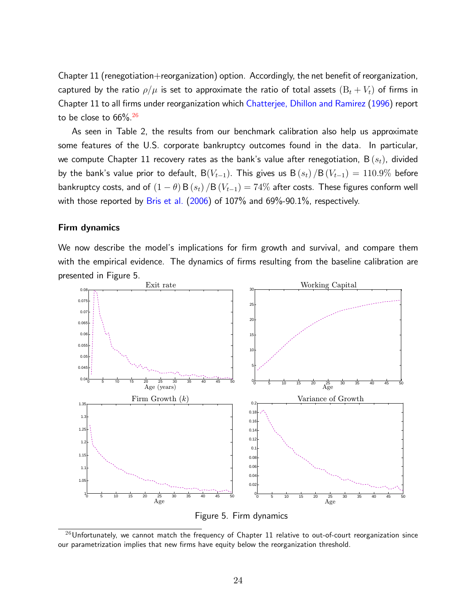Chapter  $11$  (renegotiation $+$ reorganization) option. Accordingly, the net benefit of reorganization, captured by the ratio  $\rho/\mu$  is set to approximate the ratio of total assets  $(B_t + V_t)$  of firms in Chapter 11 to all firms under reorganization which [Chatterjee, Dhillon and Ramirez](#page-32-12) [\(1996\)](#page-32-12) report to be close to  $66\%$ .<sup>[26](#page-0-0)</sup>

As seen in Table 2, the results from our benchmark calibration also help us approximate some features of the U.S. corporate bankruptcy outcomes found in the data. In particular, we compute Chapter 11 recovery rates as the bank's value after renegotiation,  $B(s_t)$ , divided by the bank's value prior to default,  $B(V_{t-1})$ . This gives us  $B(s_t) / B(V_{t-1}) = 110.9\%$  before bankruptcy costs, and of  $(1 - \theta) B(s_t) / B(V_{t-1}) = 74\%$  after costs. These figures conform well with those reported by [Bris et al.](#page-31-6)  $(2006)$  of  $107\%$  and  $69\%$ -90.1%, respectively.

#### Firm dynamics

We now describe the model's implications for firm growth and survival, and compare them with the empirical evidence. The dynamics of firms resulting from the baseline calibration are presented in Figure 5.



Figure 5. Firm dynamics

 $^{26}$ Unfortunately, we cannot match the frequency of Chapter 11 relative to out-of-court reorganization since our parametrization implies that new firms have equity below the reorganization threshold.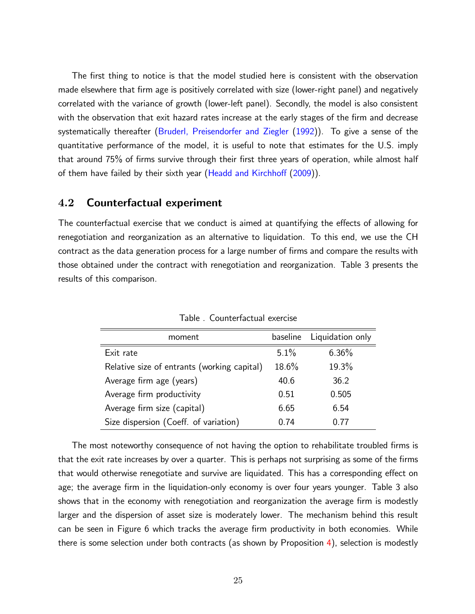The first thing to notice is that the model studied here is consistent with the observation made elsewhere that firm age is positively correlated with size (lower-right panel) and negatively correlated with the variance of growth (lower-left panel). Secondly, the model is also consistent with the observation that exit hazard rates increase at the early stages of the firm and decrease systematically thereafter [\(Bruderl, Preisendorfer and Ziegler](#page-31-12) [\(1992\)](#page-31-12)). To give a sense of the quantitative performance of the model, it is useful to note that estimates for the U.S. imply that around 75% of firms survive through their first three years of operation, while almost half of them have failed by their sixth year (Headd and Kirchhoff [\(2009\)](#page-33-13)).

## 4.2 Counterfactual experiment

The counterfactual exercise that we conduct is aimed at quantifying the effects of allowing for renegotiation and reorganization as an alternative to liquidation. To this end, we use the CH contract as the data generation process for a large number of firms and compare the results with those obtained under the contract with renegotiation and reorganization. Table 3 presents the results of this comparison.

| moment                                      | baseline | Liquidation only |
|---------------------------------------------|----------|------------------|
| Exit rate                                   | 5.1%     | $6.36\%$         |
| Relative size of entrants (working capital) | 18.6%    | 19.3%            |
| Average firm age (years)                    | 40.6     | 36.2             |
| Average firm productivity                   | 0.51     | 0.505            |
| Average firm size (capital)                 | 6.65     | 6.54             |
| Size dispersion (Coeff. of variation)       | ი 74     | በ 77             |

Table . Counterfactual exercise

The most noteworthy consequence of not having the option to rehabilitate troubled firms is that the exit rate increases by over a quarter. This is perhaps not surprising as some of the firms that would otherwise renegotiate and survive are liquidated. This has a corresponding effect on age; the average firm in the liquidation-only economy is over four years younger. Table 3 also shows that in the economy with renegotiation and reorganization the average firm is modestly larger and the dispersion of asset size is moderately lower. The mechanism behind this result can be seen in Figure 6 which tracks the average firm productivity in both economies. While there is some selection under both contracts (as shown by Proposition [4\)](#page-18-0), selection is modestly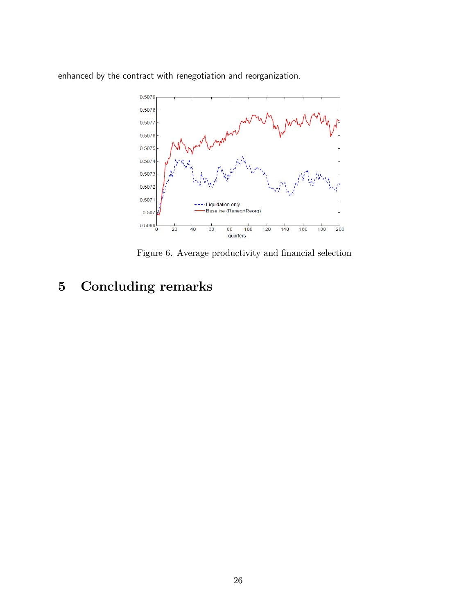enhanced by the contract with renegotiation and reorganization.



Figure 6. Average productivity and financial selection

# 5 Concluding remarks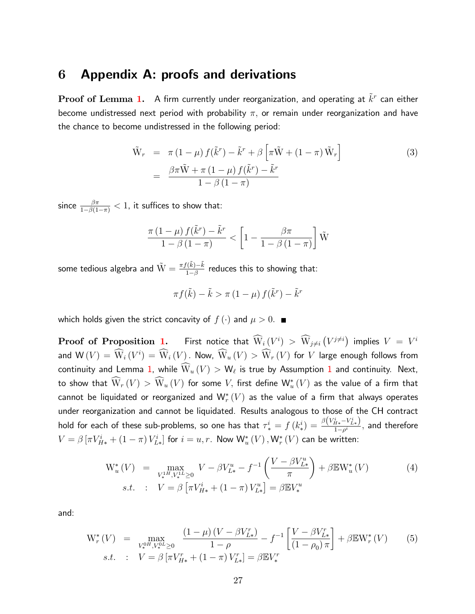## 6 Appendix A: proofs and derivations

 $\bf{Proof}$  of  $\bf{Lemma~1.~}$  $\bf{Lemma~1.~}$  $\bf{Lemma~1.~}$   $\,$  A firm currently under reorganization, and operating at  $\tilde{k}^r$  can either become undistressed next period with probability  $\pi$ , or remain under reorganization and have the chance to become undistressed in the following period:

$$
\tilde{W}_r = \pi (1 - \mu) f(\tilde{k}^r) - \tilde{k}^r + \beta \left[ \pi \tilde{W} + (1 - \pi) \tilde{W}_r \right]
$$
\n
$$
= \frac{\beta \pi \tilde{W} + \pi (1 - \mu) f(\tilde{k}^r) - \tilde{k}^r}{1 - \beta (1 - \pi)}
$$
\n(3)

since  $\frac{\beta \pi}{1-\beta(1-\pi)} < 1$ , it suffices to show that:

$$
\frac{\pi (1-\mu) f(\tilde{k}^r) - \tilde{k}^r}{1-\beta(1-\pi)} < \left[1 - \frac{\beta \pi}{1-\beta(1-\pi)}\right] \tilde{W}
$$

some tedious algebra and  $\tilde{W} = \frac{\pi f(\tilde{k}) - \tilde{k}}{1 - \beta}$  reduces this to showing that:

$$
\pi f(\tilde{k}) - \tilde{k} > \pi (1 - \mu) f(\tilde{k}^r) - \tilde{k}^r
$$

which holds given the strict concavity of  $f(\cdot)$  and  $\mu > 0$ .

 ${\bf Proof~ of~ Proposition~1.} \qquad \textsf{First~notice~that}~~ \widehat{\mathrm{W}}_i \big( V^i \big) \, > \, \widehat{\mathrm{W}}_{j \neq i} \left( V^{j \neq i} \right) \, \, \textsf{implies} \, \, V \, = \, V^i$  ${\bf Proof~ of~ Proposition~1.} \qquad \textsf{First~notice~that}~~ \widehat{\mathrm{W}}_i \big( V^i \big) \, > \, \widehat{\mathrm{W}}_{j \neq i} \left( V^{j \neq i} \right) \, \, \textsf{implies} \, \, V \, = \, V^i$  ${\bf Proof~ of~ Proposition~1.} \qquad \textsf{First~notice~that}~~ \widehat{\mathrm{W}}_i \big( V^i \big) \, > \, \widehat{\mathrm{W}}_{j \neq i} \left( V^{j \neq i} \right) \, \, \textsf{implies} \, \, V \, = \, V^i$ and  ${\sf W}\,(V)=\overline{\sf W}_i\,(V^i)=\overline{\sf W}_i\,(V)$  . Now,  $\overline{\sf W}_u\,(V)>\overline{\sf W}_r\,(V)$  for  $V$  large enough follows from continuity and Lemma [1,](#page-13-0) while  $\mathrm{W}_u\left(V\right)>\mathrm{W}_\ell$  is true by Assumption [1](#page-8-0) and continuity. Next, to show that  $\mathrm{W}_r\left(V\right)>\mathrm{W}_u\left(V\right)$  for some  $V$ , first define  $\mathsf{W}_u^*\left(V\right)$  as the value of a firm that cannot be liquidated or reorganized and  $\mathsf{W}^*_r(V)$  as the value of a firm that always operates under reorganization and cannot be liquidated. Results analogous to those of the CH contract hold for each of these sub-problems, so one has that  $\tau_*^i = f\left(k_*^i\right)$  $\binom{i}{\ast} = \frac{\beta \left(V_{H\ast}^{i}-V_{L\ast}^{i}\right)}{1-\rho^{i}}$  $\frac{H^{*}}{1-\rho^{i}},$  and therefore  $V=\beta \left[\pi V^i_{H*} + \left(1-\pi\right) V^i_{L*}\right]$  for  $i=u,r$ . Now  $\mathsf{W}^*_u\left(V\right),\mathsf{W}^*_r\left(V\right)$  can be written:

$$
W_u^*(V) = \max_{V_*^{1H}, V_*^{1L} \ge 0} V - \beta V_{L*}^u - f^{-1} \left( \frac{V - \beta V_{L*}^u}{\pi} \right) + \beta \mathbb{E} W_u^*(V)
$$
  
s.t. :  $V = \beta \left[ \pi V_{H*}^i + (1 - \pi) V_{L*}^u \right] = \beta \mathbb{E} V_*^u$  (4)

and:

$$
W_r^*(V) = \max_{V_r^{0H}, V_r^{0L} \ge 0} \frac{(1 - \mu)(V - \beta V_{L*}^r)}{1 - \rho} - f^{-1} \left[ \frac{V - \beta V_{L*}^r}{(1 - \rho_0) \pi} \right] + \beta \mathbb{E} W_r^*(V) \tag{5}
$$
  
s.t. :  $V = \beta \left[ \pi V_{H*}^r + (1 - \pi) V_{L*}^r \right] = \beta \mathbb{E} V_r^r$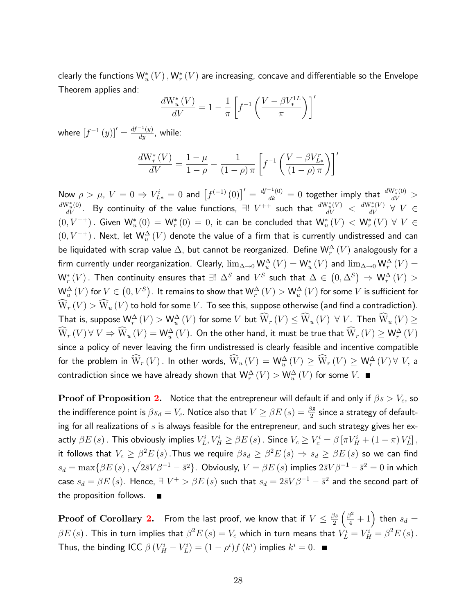clearly the functions  $\mathsf{W}^*_u(V)$  ,  $\mathsf{W}^*_r(V)$  are increasing, concave and differentiable so the Envelope Theorem applies and:

$$
\frac{dW_u^*(V)}{dV} = 1 - \frac{1}{\pi} \left[ f^{-1} \left( \frac{V - \beta V_*^{1L}}{\pi} \right) \right]'
$$

where  $\left[f^{-1}\left(y\right)\right]'=\frac{df^{-1}\left(y\right)}{dy}$ , while:

$$
\frac{dW_r^*(V)}{dV} = \frac{1-\mu}{1-\rho} - \frac{1}{(1-\rho)\pi} \left[ f^{-1} \left( \frac{V - \beta V_{L*}^r}{(1-\rho)\pi} \right) \right]'
$$

Now  $\rho > \mu$ ,  $V = 0 \Rightarrow V_{L*}^i = 0$  and  $\left[f^{(-1)}(0)\right]' = \frac{df^{-1}(0)}{dk} = 0$  together imply that  $\frac{dW_*^r(0)}{dV} >$  $\frac{dW^*_u(0)}{dV}$ . By continuity of the value functions,  $\exists! \; V^{++}$  such that  $\frac{dW^*_u(V)}{dV} < \frac{dW^*_r(V)}{dV} \; \forall \; V \in$  $(0,V^{++})$ . Given  $\mathsf{W}^*_u(0) = \mathsf{W}^*_r(0) = 0$ , it can be concluded that  $\mathsf{W}^*_u(V) < \mathsf{W}^*_r(V) \ \forall \ V \in$  $(0,V^{++})$  . Next, let  $\mathsf{W}_u^\Delta\left(V\right)$  denote the value of a firm that is currently undistressed and can be liquidated with scrap value  $\Delta,$  but cannot be reorganized. Define  $\mathsf{W}^\Delta_r\left(V\right)$  analogously for a firm currently under reorganization. Clearly,  $\lim_{\Delta\to 0}$   $\mathsf{W}^\Delta_u\,(V)=\mathsf{W}^*_u\,(V)$  and  $\lim_{\Delta\to 0}$   $\mathsf{W}^\Delta_r\,(V)=$  $\mathsf{W}^*_r(V)$  . Then continuity ensures that  $\exists! \; \Delta^S$  and  $V^S$  such that  $\Delta \in \big(0,\Delta^S\big) \Rightarrow \mathsf{W}^\Delta_r(V) > 0$  ${\sf W}^\Delta_u\,(V)$  for  $V\in \big(0,V^S\big).$  It remains to show that  ${\sf W}^\Delta_r\,(V)>{\sf W}^\Delta_u\,(V)$  for some  $V$  is sufficient for  $\widehat{\mathrm{W}}_r\left(V\right)>\widehat{\mathrm{W}}_u\left(V\right)$  to hold for some  $V.$  To see this, suppose otherwise (and find a contradiction). That is, suppose  $\mathsf{W}^\Delta_r(V) > \mathsf{W}^\Delta_u(V)$  for some  $V$  but  $\widetilde{\mathsf{W}}_r(V) \leq \widetilde{\mathsf{W}}_u(V) \ \forall \ V$ . Then  $\widetilde{\mathsf{W}}_u(V) \geq 0$  $\hat{\rm W}_r\left(V\right) \forall \; V \Rightarrow \hat{\rm W}_u\left(V\right) = {\sf W}_u^{\Delta}\left(V\right).$  On the other hand, it must be true that  $\hat{\rm W}_r\left(V\right) \geq {\sf W}_r^{\Delta}\left(V\right)$ since a policy of never leaving the firm undistressed is clearly feasible and incentive compatible for the problem in  $\hat{\operatorname{W}}_r(V)$  . In other words,  $\hat{\operatorname{W}}_u(V) = \operatorname{W}_u^\Delta(V) \ge \hat{\operatorname{W}}_r(V) \ge \operatorname{W}_r^\Delta(V) \forall V$ , a contradiction since we have already shown that  $\mathsf{W}^\Delta_r\,(V)>\mathsf{W}^\Delta_u\,(V)$  for some  $V$ .

**Proof of Proposition [2.](#page-15-1)** Notice that the entrepreneur will default if and only if  $\beta s > V_c$ , so the indifference point is  $\beta s_d = V_c.$  Notice also that  $V \ge \beta E\left(s\right) = \frac{\beta \bar{s}}{2}$  since a strategy of defaulting for all realizations of  $s$  is always feasible for the entrepreneur, and such strategy gives her exactly  $\beta E(s)$  . This obviously implies  $V_L^i, V_H^i \geq \beta E(s)$  . Since  $V_c \geq V_c^i = \beta \left[ \pi V_H^i + (1-\pi) V_L^i \right],$ it follows that  $V_c \geq \beta^2 E\left(s\right)$  .Thus we require  $\beta s_d \geq \beta^2 E\left(s\right) \Rightarrow s_d \geq \beta E\left(s\right)$  so we can find  $s_d=\max\{\beta E\left(s\right),\sqrt{2\bar{s}V\beta^{-1}-\bar{s}^2}\}.$  Obviously,  $V=\beta E\left(s\right)$  implies  $2\bar{s}V\beta^{-1}-\bar{s}^2=0$  in which case  $s_d=\beta E\left(s\right)$ . Hence,  $\exists\;V^+>\beta E\left(s\right)$  such that  $s_d=2\bar s V\beta^{-1}-\bar s^2$  and the second part of the proposition follows.

 ${\bf Proof~ of~ Corollary~2.}$  ${\bf Proof~ of~ Corollary~2.}$  ${\bf Proof~ of~ Corollary~2.}$  From the last proof, we know that if  $V\leq \frac{\beta \bar{s}}{2}$ 2  $\left(\frac{\beta^2}{4}+1\right)$  then  $s_d =$  $\beta E\left(s\right)$  . This in turn implies that  $\beta^2 E\left(s\right)=V_c$  which in turn means that  $V_L^i=V_H^i=\beta^2 E\left(s\right)$  . Thus, the binding ICC  $\beta (V_H^i - V_L^i) = (1 - \rho^i) f (k^i)$  implies  $k^i = 0$ .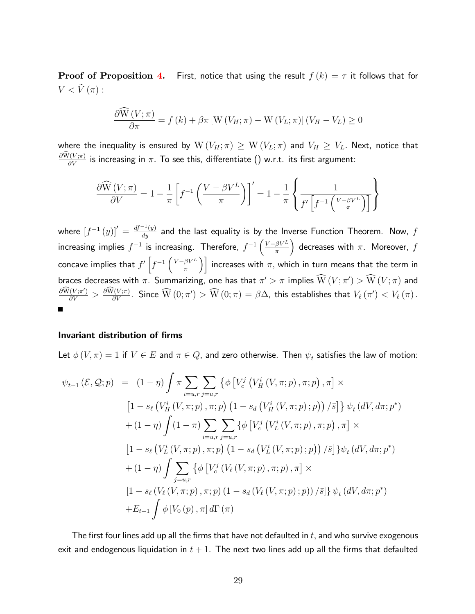**Proof of Proposition [4.](#page-18-0)** First, notice that using the result  $f(k) = \tau$  it follows that for  $V < \tilde{V}(\pi)$ :

$$
\frac{\partial \widehat{\mathbf{W}}\left(V;\pi\right)}{\partial \pi} = f\left(k\right) + \beta \pi \left[\mathbf{W}\left(V_H;\pi\right) - \mathbf{W}\left(V_L;\pi\right)\right] \left(V_H - V_L\right) \ge 0
$$

where the inequality is ensured by  $W(V_H; \pi) \geq W(V_L; \pi)$  and  $V_H \geq V_L$ . Next, notice that  $\frac{\partial W(V;\pi)}{\partial V}$  is increasing in  $\pi.$  To see this, differentiate () w.r.t. its first argument:

$$
\frac{\partial \widehat{W}(V;\pi)}{\partial V} = 1 - \frac{1}{\pi} \left[ f^{-1} \left( \frac{V - \beta V^L}{\pi} \right) \right]' = 1 - \frac{1}{\pi} \left\{ \frac{1}{f' \left[ f^{-1} \left( \frac{V - \beta V^L}{\pi} \right) \right]} \right\}
$$

where  $\left[f^{-1}\left(y\right)\right]'=\frac{df^{-1}\left(y\right)}{dy}$  and the last equality is by the Inverse Function Theorem. Now,  $f$ increasing implies  $f^{-1}$  is increasing. Therefore,  $f^{-1}\left(\frac{V-\beta V^L}{\pi}\right)$ ) decreases with  $\pi$ . Moreover,  $f$ concave implies that  $f'\left[f^{-1}\left(\frac{V-\beta V^L}{\pi}\right)\right]$  increases with  $\pi,$  which in turn means that the term in braces decreases with  $\pi.$  Summarizing, one has that  $\pi'>\pi$  implies  $\mathrm{W}\left(V;\pi'\right)>\mathrm{W}\left(V;\pi\right)$  and  $\frac{\partial W(V;\pi')}{\partial V}>\frac{\partial W(V;\pi)}{\partial V}$ . Since  $\widehat{W}\left(0;\pi'\right)>\widehat{W}\left(0;\pi\right)=\beta\Delta$ , this establishes that  $V_{\ell}\left(\pi'\right)< V_{\ell}\left(\pi\right)$ .

#### Invariant distribution of firms

Let  $\phi(V,\pi)=1$  if  $V\in E$  and  $\pi\in Q$ , and zero otherwise. Then  $\psi_t$  satisfies the law of motion:

$$
\psi_{t+1}(\mathcal{E}, \mathcal{Q}; p) = (1 - \eta) \int \pi \sum_{i=u,r} \sum_{j=u,r} \left\{ \phi \left[ V_c^j \left( V_H^i \left( V, \pi; p \right), \pi; p \right), \pi \right] \times \left[ 1 - s_\ell \left( V_H^i \left( V, \pi; p \right), \pi; p \right) \left( 1 - s_d \left( V_H^i \left( V, \pi; p \right); p \right) \right) / \bar{s} \right] \right\} \psi_t \left( dV, d\pi; p^* \right) + (1 - \eta) \int (1 - \pi) \sum_{i=u,r} \sum_{j=u,r} \left\{ \phi \left[ V_c^j \left( V_L^i \left( V, \pi; p \right), \pi; p \right), \pi \right] \times \left[ 1 - s_\ell \left( V_L^i \left( V, \pi; p \right), \pi; p \right) \left( 1 - s_d \left( V_L^i \left( V, \pi; p \right); p \right) \right) / \bar{s} \right] \right\} \psi_t \left( dV, d\pi; p^* \right) + (1 - \eta) \int \sum_{j=u,r} \left\{ \phi \left[ V_c^j \left( V_\ell \left( V, \pi; p \right), \pi; p \right), \pi \right] \times \left[ 1 - s_\ell \left( V_\ell \left( V, \pi; p \right), \pi; p \right) \left( 1 - s_d \left( V_\ell \left( V, \pi; p \right); p \right) \right) / \bar{s} \right] \right\} \psi_t \left( dV, d\pi; p^* \right) + E_{t+1} \int \phi \left[ V_0 \left( p \right), \pi \right] d\Gamma \left( \pi \right)
$$

The first four lines add up all the firms that have not defaulted in  $t$ , and who survive exogenous exit and endogenous liquidation in  $t + 1$ . The next two lines add up all the firms that defaulted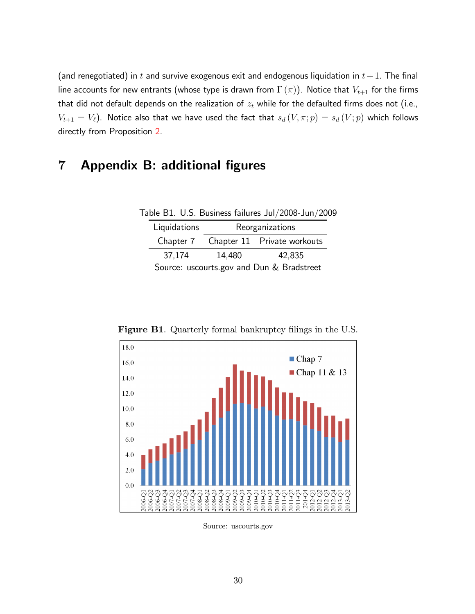(and renegotiated) in  $t$  and survive exogenous exit and endogenous liquidation in  $t+1$ . The final line accounts for new entrants (whose type is drawn from  $\Gamma(\pi)$ ). Notice that  $V_{t+1}$  for the firms that did not default depends on the realization of  $z_t$  while for the defaulted firms does not (i.e.,  $V_{t+1} = V_{\ell}$ ). Notice also that we have used the fact that  $s_d(V, \pi; p) = s_d(V; p)$  which follows directly from Proposition [2.](#page-15-1)

# 7 Appendix B: additional figures

| Table B1. U.S. Business failures Jul/2008-Jun/2009 |  |  |  |
|----------------------------------------------------|--|--|--|
|----------------------------------------------------|--|--|--|

| Liquidations                              | Reorganizations |                                       |  |  |
|-------------------------------------------|-----------------|---------------------------------------|--|--|
|                                           |                 | Chapter 7 Chapter 11 Private workouts |  |  |
| 37.174                                    | 14,480          | 42.835                                |  |  |
| Source: uscourts.gov and Dun & Bradstreet |                 |                                       |  |  |



Figure B1. Quarterly formal bankruptcy filings in the U.S.

Source: uscourts.gov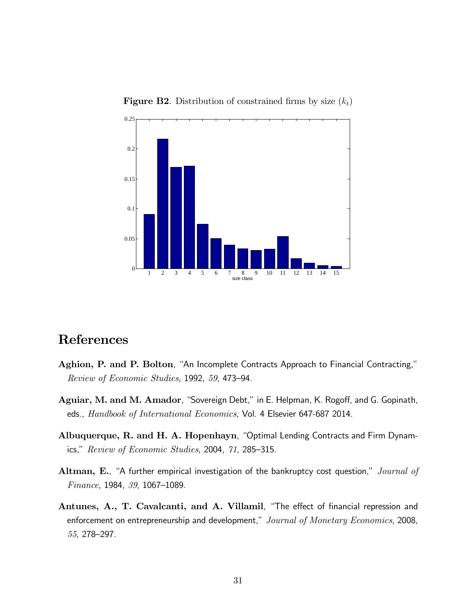

**Figure B2**. Distribution of constrained firms by size  $(k_t)$ 

# References

- <span id="page-30-0"></span>Aghion, P. and P. Bolton, "An Incomplete Contracts Approach to Financial Contracting,"  $Review of Economic Studies, 1992, 59, 473-94.$
- <span id="page-30-3"></span>Aguiar, M. and M. Amador, "Sovereign Debt," in E. Helpman, K. Rogoff, and G. Gopinath, eds., Handbook of International Economics, Vol. 4 Elsevier 647-687 2014.
- <span id="page-30-2"></span>Albuquerque, R. and H. A. Hopenhayn, "Optimal Lending Contracts and Firm Dynamics,"  $Review of Economic Studies, 2004, 71, 285-315.$
- <span id="page-30-1"></span>Altman, E., "A further empirical investigation of the bankruptcy cost question," *Journal of*  $Finance, 1984, 39, 1067–1089.$
- <span id="page-30-4"></span>Antunes, A., T. Cavalcanti, and A. Villamil, "The effect of financial repression and enforcement on entrepreneurship and development," Journal of Monetary Economics, 2008, 55, 278-297.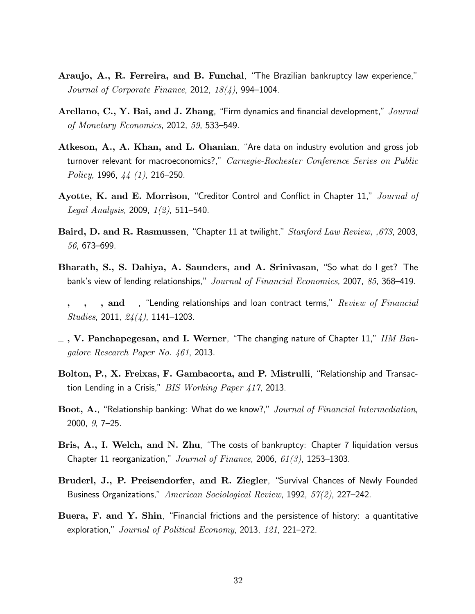- <span id="page-31-9"></span>Araujo, A., R. Ferreira, and B. Funchal, "The Brazilian bankruptcy law experience," Journal of Corporate Finance, 2012,  $18(4)$ , 994–1004.
- <span id="page-31-8"></span>Arellano, C., Y. Bai, and J. Zhang, "Firm dynamics and financial development,"  $Journal$ of Monetary Economics, 2012, 59, 533–549.
- <span id="page-31-10"></span>Atkeson, A., A. Khan, and L. Ohanian, "Are data on industry evolution and gross job turnover relevant for macroeconomics?," Carnegie-Rochester Conference Series on Public Policy, 1996,  $44(1)$ , 216–250.
- <span id="page-31-4"></span>Ayotte, K. and E. Morrison, "Creditor Control and Conflict in Chapter 11," Journal of *Legal Analysis*, 2009,  $1(2)$ , 511–540.
- <span id="page-31-7"></span>Baird, D. and R. Rasmussen, "Chapter 11 at twilight,"  $Stanford Law Review, 673, 2003$ , 56, 673-699.
- <span id="page-31-1"></span>Bharath, S., S. Dahiya, A. Saunders, and A. Srinivasan, "So what do I get? The bank's view of lending relationships," Journal of Financial Economics, 2007, 85, 368–419.
- <span id="page-31-2"></span> $, \ldots, \ldots, \text{ and } \ldots$  i "Lending relationships and loan contract terms,"  $Review \ of \ Financial$ Studies, 2011,  $24(4)$ , 1141–1203.
- <span id="page-31-5"></span> $\sim$ , V. Panchapegesan, and I. Werner, "The changing nature of Chapter 11," IIM Bangalore Research Paper No. 461, 2013.
- <span id="page-31-3"></span>Bolton, P., X. Freixas, F. Gambacorta, and P. Mistrulli, "Relationship and Transaction Lending in a Crisis,"  $BIS$  Working Paper 417, 2013.
- <span id="page-31-0"></span>Boot, A., "Relationship banking: What do we know?," Journal of Financial Intermediation,  $2000, g, 7-25.$
- <span id="page-31-6"></span>Bris, A., I. Welch, and N. Zhu, "The costs of bankruptcy: Chapter 7 liquidation versus Chapter 11 reorganization,"  $Journal of Finance$ , 2006,  $61(3)$ , 1253-1303.
- <span id="page-31-12"></span>Bruderl, J., P. Preisendorfer, and R. Ziegler, "Survival Chances of Newly Founded Business Organizations," American Sociological Review, 1992, 57(2), 227-242.
- <span id="page-31-11"></span>Buera,  $F.$  and  $Y.$  Shin, "Financial frictions and the persistence of history: a quantitative exploration,"  $Journal of Political Economy$ , 2013, 121, 221-272.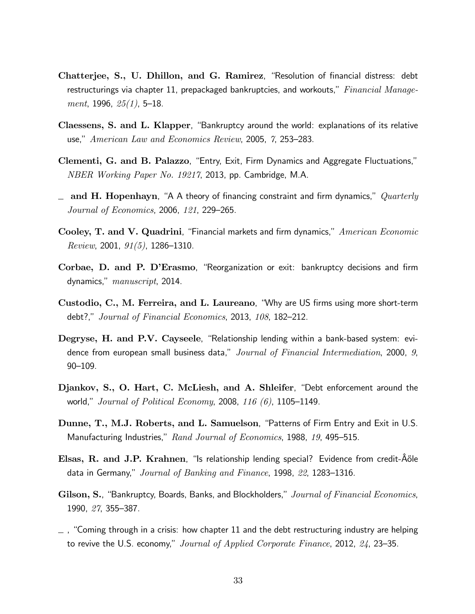- <span id="page-32-12"></span>Chatterjee, S., U. Dhillon, and G. Ramirez, "Resolution of financial distress: debt restructurings via chapter 11, prepackaged bankruptcies, and workouts,"  $Financial$  Manage*ment*, 1996,  $25(1)$ , 5–18.
- <span id="page-32-1"></span>Claessens, S. and L. Klapper, "Bankruptcy around the world: explanations of its relative use," American Law and Economics Review, 2005, 7, 253–283.
- <span id="page-32-10"></span>Clementi, G. and B. Palazzo, "Entry, Exit, Firm Dynamics and Aggregate Fluctuations," NBER Working Paper No. 19217, 2013, pp. Cambridge, M.A.
- <span id="page-32-9"></span> $\equiv$  and H. Hopenhayn, "A A theory of financing constraint and firm dynamics," Quarterly *Journal of Economics*, 2006,  $121$ , 229–265.
- <span id="page-32-8"></span>Cooley, T. and V. Quadrini, "Financial markets and firm dynamics," American Economic Review, 2001,  $91(5)$ , 1286–1310.
- <span id="page-32-0"></span>Corbae, D. and P. D'Erasmo, "Reorganization or exit: bankruptcy decisions and firm dynamics,"  $manuscript$ , 2014.
- <span id="page-32-3"></span>Custodio, C., M. Ferreira, and L. Laureano, "Why are US firms using more short-term debt?," Journal of Financial Economics, 2013,  $108$ , 182-212.
- <span id="page-32-4"></span>Degryse, H. and P.V. Cayseele, "Relationship lending within a bank-based system: evidence from european small business data," Journal of Financial Intermediation, 2000,  $9$ , 90-109.
- <span id="page-32-7"></span>Djankov, S., O. Hart, C. McLiesh, and A. Shleifer, "Debt enforcement around the world," Journal of Political Economy, 2008, 116  $(6)$ , 1105–1149.
- <span id="page-32-11"></span>Dunne, T., M.J. Roberts, and L. Samuelson, "Patterns of Firm Entry and Exit in U.S. Manufacturing Industries,"  $Rand\ Journal\ of\ Economics$ , 1988, 19, 495–515.
- <span id="page-32-2"></span>Elsas, R. and J.P. Krahnen, "Is relationship lending special? Evidence from credit- $\hat{A}$ őle data in Germany," Journal of Banking and Finance, 1998, 22, 1283–1316.
- <span id="page-32-5"></span>Gilson, S., "Bankruptcy, Boards, Banks, and Blockholders," Journal of Financial Economics, 1990, 27, 355-387.
- <span id="page-32-6"></span> $\mu$  , "Coming through in a crisis: how chapter 11 and the debt restructuring industry are helping to revive the U.S. economy," Journal of Applied Corporate Finance, 2012,  $\mathcal{Q}_4$ , 23–35.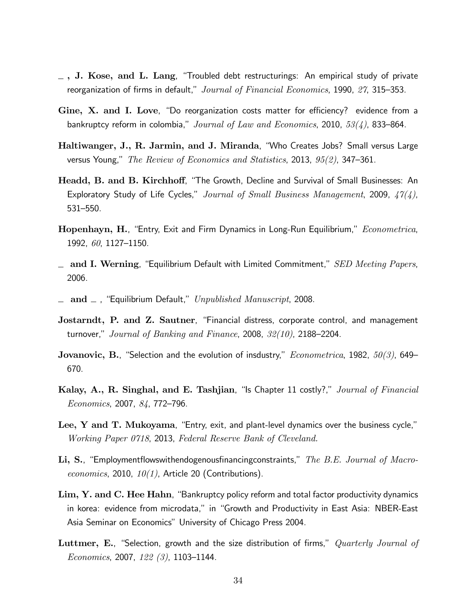- <span id="page-33-0"></span> $\sim$  , J. Kose, and L. Lang, "Troubled debt restructurings: An empirical study of private reorganization of firms in default,"  $Journal of Financial Economics$ , 1990,  $27$ , 315-353.
- <span id="page-33-7"></span>Gine,  $X$ . and I. Love, "Do reorganization costs matter for efficiency? evidence from a bankruptcy reform in colombia," Journal of Law and Economics, 2010,  $53(4)$ , 833–864.
- <span id="page-33-11"></span>Haltiwanger, J., R. Jarmin, and J. Miranda, "Who Creates Jobs? Small versus Large versus Young," The Review of Economics and Statistics, 2013,  $95(2)$ , 347–361.
- <span id="page-33-13"></span>Headd, B. and B. Kirchhoff, "The Growth, Decline and Survival of Small Businesses: An Exploratory Study of Life Cycles," Journal of Small Business Management, 2009,  $47(4)$ , 531-550.
- <span id="page-33-6"></span>Hopenhayn, H., "Entry, Exit and Firm Dynamics in Long-Run Equilibrium," Econometrica, 1992, 60, 1127-1150.
- <span id="page-33-4"></span> $\Delta$  and I. Werning, "Equilibrium Default with Limited Commitment," SED Meeting Papers, 2006.
- <span id="page-33-3"></span> $\Delta$  and  $\Delta$ , "Equilibrium Default," Unpublished Manuscript, 2008.
- <span id="page-33-1"></span>Jostarndt, P. and Z. Sautner, "Financial distress, corporate control, and management turnover," Journal of Banking and Finance, 2008,  $32(10)$ , 2188–2204.
- <span id="page-33-5"></span>Jovanovic, B., "Selection and the evolution of insdustry,"  $Econometrica$ , 1982,  $50(3)$ , 649– 670.
- <span id="page-33-2"></span>Kalay, A., R. Singhal, and E. Tashjian, "Is Chapter 11 costly?," Journal of Financial Economics, 2007, 84, 772-796.
- <span id="page-33-10"></span>Lee,  $Y$  and  $T$ . Mukoyama, "Entry, exit, and plant-level dynamics over the business cycle," Working Paper 0718, 2013, Federal Reserve Bank of Cleveland.
- <span id="page-33-9"></span>Li, S., "Employmentflowswithendogenousfinancingconstraints," The B.E. Journal of Macroeconomics, 2010,  $10(1)$ , Article 20 (Contributions).
- <span id="page-33-8"></span>Lim, Y. and C. Hee Hahn, "Bankruptcy policy reform and total factor productivity dynamics in korea: evidence from microdata," in "Growth and Productivity in East Asia: NBER-East Asia Seminar on Economics" University of Chicago Press 2004.
- <span id="page-33-12"></span>Luttmer, E., "Selection, growth and the size distribution of firms,"  $Quarterly\ Journal$  of Economics, 2007, 122  $(3)$ , 1103–1144.